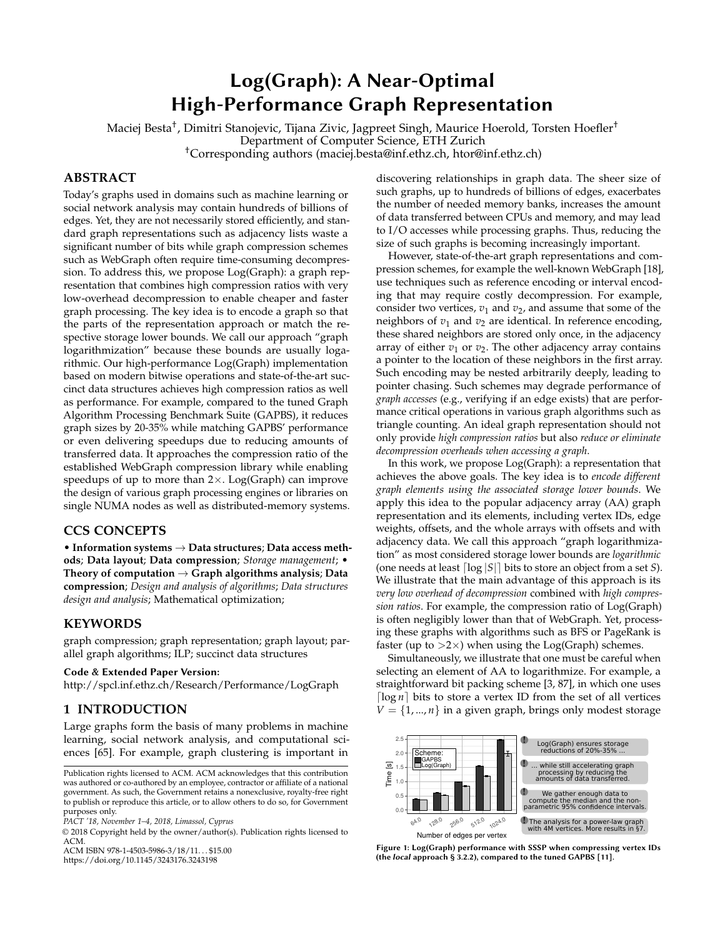# Log(Graph): A Near-Optimal High-Performance Graph Representation

<span id="page-0-1"></span>Maciej Besta† , Dimitri Stanojevic, Tijana Zivic, Jagpreet Singh, Maurice Hoerold, Torsten Hoefler† Department of Computer Science, ETH Zurich

†Corresponding authors (maciej.besta@inf.ethz.ch, htor@inf.ethz.ch)

# **ABSTRACT**

Today's graphs used in domains such as machine learning or social network analysis may contain hundreds of billions of edges. Yet, they are not necessarily stored efficiently, and standard graph representations such as adjacency lists waste a significant number of bits while graph compression schemes such as WebGraph often require time-consuming decompression. To address this, we propose Log(Graph): a graph representation that combines high compression ratios with very low-overhead decompression to enable cheaper and faster graph processing. The key idea is to encode a graph so that the parts of the representation approach or match the respective storage lower bounds. We call our approach "graph logarithmization" because these bounds are usually logarithmic. Our high-performance Log(Graph) implementation based on modern bitwise operations and state-of-the-art succinct data structures achieves high compression ratios as well as performance. For example, compared to the tuned Graph Algorithm Processing Benchmark Suite (GAPBS), it reduces graph sizes by 20-35% while matching GAPBS' performance or even delivering speedups due to reducing amounts of transferred data. It approaches the compression ratio of the established WebGraph compression library while enabling speedups of up to more than  $2 \times$ . Log(Graph) can improve the design of various graph processing engines or libraries on single NUMA nodes as well as distributed-memory systems.

# **CCS CONCEPTS**

• **Information systems** → **Data structures**; **Data access methods**; **Data layout**; **Data compression**; *Storage management*; • **Theory of computation** → **Graph algorithms analysis**; **Data compression**; *Design and analysis of algorithms*; *Data structures design and analysis*; Mathematical optimization;

## **KEYWORDS**

graph compression; graph representation; graph layout; parallel graph algorithms; ILP; succinct data structures

## Code & Extended Paper Version:

<http://spcl.inf.ethz.ch/Research/Performance/LogGraph>

# **1 INTRODUCTION**

Large graphs form the basis of many problems in machine learning, social network analysis, and computational sciences [\[65\]](#page-11-0). For example, graph clustering is important in

ACM ISBN 978-1-4503-5986-3/18/11...\$15.00

<https://doi.org/10.1145/3243176.3243198>

discovering relationships in graph data. The sheer size of such graphs, up to hundreds of billions of edges, exacerbates the number of needed memory banks, increases the amount of data transferred between CPUs and memory, and may lead to I/O accesses while processing graphs. Thus, reducing the size of such graphs is becoming increasingly important.

However, state-of-the-art graph representations and compression schemes, for example the well-known WebGraph [\[18\]](#page-11-1), use techniques such as reference encoding or interval encoding that may require costly decompression. For example, consider two vertices,  $v_1$  and  $v_2$ , and assume that some of the neighbors of  $v_1$  and  $v_2$  are identical. In reference encoding, these shared neighbors are stored only once, in the adjacency array of either  $v_1$  or  $v_2$ . The other adjacency array contains a pointer to the location of these neighbors in the first array. Such encoding may be nested arbitrarily deeply, leading to pointer chasing. Such schemes may degrade performance of *graph accesses* (e.g., verifying if an edge exists) that are performance critical operations in various graph algorithms such as triangle counting. An ideal graph representation should not only provide *high compression ratios* but also *reduce or eliminate decompression overheads when accessing a graph*.

In this work, we propose Log(Graph): a representation that achieves the above goals. The key idea is to *encode different graph elements using the associated storage lower bounds*. We apply this idea to the popular adjacency array (AA) graph representation and its elements, including vertex IDs, edge weights, offsets, and the whole arrays with offsets and with adjacency data. We call this approach "graph logarithmization" as most considered storage lower bounds are *logarithmic* (one needs at least  $\lceil \log |S| \rceil$  bits to store an object from a set *S*). We illustrate that the main advantage of this approach is its *very low overhead of decompression* combined with *high compression ratios*. For example, the compression ratio of Log(Graph) is often negligibly lower than that of WebGraph. Yet, processing these graphs with algorithms such as BFS or PageRank is faster (up to  $>2\times$ ) when using the Log(Graph) schemes.

Simultaneously, we illustrate that one must be careful when selecting an element of AA to logarithmize. For example, a straightforward bit packing scheme [\[3,](#page-11-2) [87\]](#page-12-0), in which one uses [ $\log n$ ] bits to store a vertex ID from the set of all vertices  $V = \{1, ..., n\}$  in a given graph, brings only modest storage

<span id="page-0-0"></span>



Publication rights licensed to ACM. ACM acknowledges that this contribution was authored or co-authored by an employee, contractor or affiliate of a national government. As such, the Government retains a nonexclusive, royalty-free right to publish or reproduce this article, or to allow others to do so, for Government purposes only.

*PACT '18, November 1–4, 2018, Limassol, Cyprus*

<sup>©</sup> 2018 Copyright held by the owner/author(s). Publication rights licensed to ACM.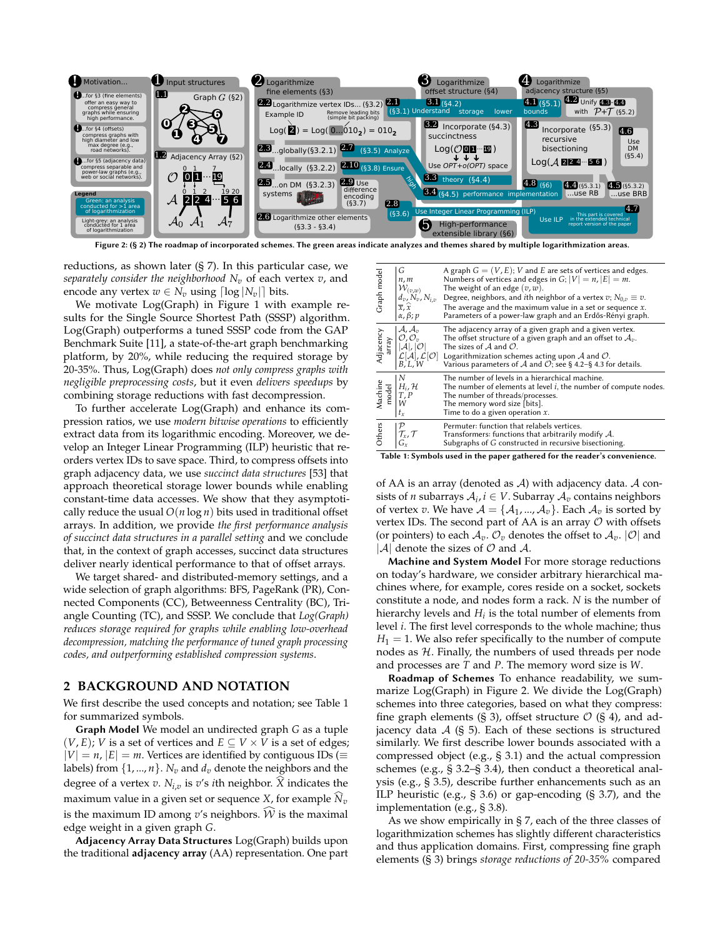<span id="page-1-2"></span>

Figure 2: (§ [2\)](#page-1-0) The roadmap of incorporated schemes. The green areas indicate analyzes and themes shared by multiple logarithmization areas.

reductions, as shown later (§ [7\)](#page-7-0). In this particular case, we *separately consider the neighborhood*  $N_v$  of each vertex  $v$ , and encode any vertex  $w \in N_v$  using  $\lceil \log |N_v| \rceil$  bits.

We motivate Log(Graph) in Figure [1](#page-0-0) with example results for the Single Source Shortest Path (SSSP) algorithm. Log(Graph) outperforms a tuned SSSP code from the GAP Benchmark Suite [\[11\]](#page-11-3), a state-of-the-art graph benchmarking platform, by 20%, while reducing the required storage by 20-35%. Thus, Log(Graph) does *not only compress graphs with negligible preprocessing costs*, but it even *delivers speedups* by combining storage reductions with fast decompression.

To further accelerate Log(Graph) and enhance its compression ratios, we use *modern bitwise operations* to efficiently extract data from its logarithmic encoding. Moreover, we develop an Integer Linear Programming (ILP) heuristic that reorders vertex IDs to save space. Third, to compress offsets into graph adjacency data, we use *succinct data structures* [\[53\]](#page-11-4) that approach theoretical storage lower bounds while enabling constant-time data accesses. We show that they asymptotically reduce the usual  $O(n \log n)$  bits used in traditional offset arrays. In addition, we provide *the first performance analysis of succinct data structures in a parallel setting* and we conclude that, in the context of graph accesses, succinct data structures deliver nearly identical performance to that of offset arrays.

We target shared- and distributed-memory settings, and a wide selection of graph algorithms: BFS, PageRank (PR), Connected Components (CC), Betweenness Centrality (BC), Triangle Counting (TC), and SSSP. We conclude that *Log(Graph) reduces storage required for graphs while enabling low-overhead decompression, matching the performance of tuned graph processing codes, and outperforming established compression systems*.

## <span id="page-1-0"></span>**2 BACKGROUND AND NOTATION**

We first describe the used concepts and notation; see Table [1](#page-1-1) for summarized symbols.

Graph Model We model an undirected graph *G* as a tuple  $(V, E)$ ; *V* is a set of vertices and  $E \subseteq V \times V$  is a set of edges;  $|V| = n$ ,  $|E| = m$ . Vertices are identified by contiguous IDs ( $\equiv$ labels) from  $\{1, ..., n\}$ .  $N_v$  and  $d_v$  denote the neighbors and the degree of a vertex  $v$ .  $N_{i,v}$  is  $v'$ s *i*th neighbor.  $\widehat{X}$  indicates the maximum value in a given set or sequence *X*, for example  $\widehat{N}_v$ is the maximum ID among  $v'$ s neighbors.  $\widehat{\mathcal{W}}$  is the maximal edge weight in a given graph *G*.

Adjacency Array Data Structures Log(Graph) builds upon the traditional **adjacency array** (AA) representation. One part

<span id="page-1-1"></span>

| A graph $G = (V, E)$ ; V and E are sets of vertices and edges.<br>Numbers of vertices and edges in $G$ ; $ V  = n$ , $ E  = m$ .<br>The weight of an edge $(v, w)$ .<br>$d_v, N_v, N_{i,v}$<br>Degree, neighbors, and <i>i</i> th neighbor of a vertex $v: N_{0,v} \equiv v$ .<br>The average and the maximum value in a set or sequence $x$ .<br>Parameters of a power-law graph and an Erdős-Rényi graph. |
|-------------------------------------------------------------------------------------------------------------------------------------------------------------------------------------------------------------------------------------------------------------------------------------------------------------------------------------------------------------------------------------------------------------|
| The adjacency array of a given graph and a given vertex.<br>The offset structure of a given graph and an offset to $A_v$ .<br>The sizes of $A$ and $O$ .<br>$\mathcal{L}[\mathcal{A}], \mathcal{L}[\mathcal{O}]$<br>B, L, W<br>Logarithmization schemes acting upon $A$ and $O$ .<br>Various parameters of A and $\mathcal{O}$ ; see § 4.2-§ 4.3 for details.                                               |
| The number of levels in a hierarchical machine.<br>The number of elements at level $i$ , the number of compute nodes.<br>The number of threads/processes.<br>The memory word size [bits].<br>Time to do a given operation $x$ .                                                                                                                                                                             |
| Permuter: function that relabels vertices.<br>Transformers: functions that arbitrarily modify $A$ .<br>Subgraphs of G constructed in recursive bisectioning.<br>$\mathbf{r}$ , and the set of the set of $\mathbf{r}$                                                                                                                                                                                       |
|                                                                                                                                                                                                                                                                                                                                                                                                             |

Table 1: Symbols used in the paper gathered for the reader's convenience.

of AA is an array (denoted as  $A$ ) with adjacency data.  $A$  consists of *n* subarrays  $\mathcal{A}_i$ ,  $i \in V$ . Subarray  $\mathcal{A}_v$  contains neighbors of vertex  $v$ . We have  $\mathcal{A} = \{A_1, ..., A_v\}$ . Each  $\mathcal{A}_v$  is sorted by vertex IDs. The second part of AA is an array  $O$  with offsets (or pointers) to each  $A_v$ .  $\mathcal{O}_v$  denotes the offset to  $A_v$ .  $|\mathcal{O}|$  and  $|\mathcal{A}|$  denote the sizes of  $\mathcal O$  and  $\mathcal A$ .

Machine and System Model For more storage reductions on today's hardware, we consider arbitrary hierarchical machines where, for example, cores reside on a socket, sockets constitute a node, and nodes form a rack. *N* is the number of hierarchy levels and  $H_i$  is the total number of elements from level *i*. The first level corresponds to the whole machine; thus  $H_1 = 1$ . We also refer specifically to the number of compute nodes as  $H$ . Finally, the numbers of used threads per node and processes are *T* and *P*. The memory word size is *W*.

Roadmap of Schemes To enhance readability, we summarize Log(Graph) in Figure [2.](#page-1-2) We divide the Log(Graph) schemes into three categories, based on what they compress: fine graph elements (§ [3\)](#page-2-1), offset structure  $\mathcal{O}$  (§ [4\)](#page-4-2), and adjacency data  $A$  (§ [5\)](#page-5-0). Each of these sections is structured similarly. We first describe lower bounds associated with a compressed object (e.g., § [3.1\)](#page-2-2) and the actual compression schemes (e.g., § [3.2–](#page-2-3)§ [3.4\)](#page-2-4), then conduct a theoretical analysis (e.g., § [3.5\)](#page-2-5), describe further enhancements such as an ILP heuristic (e.g., § [3.6\)](#page-3-0) or gap-encoding (§ [3.7\)](#page-3-1), and the implementation (e.g., § [3.8\)](#page-3-2).

As we show empirically in § [7,](#page-7-0) each of the three classes of logarithmization schemes has slightly different characteristics and thus application domains. First, compressing fine graph elements (§ [3\)](#page-2-1) brings *storage reductions of 20-35%* compared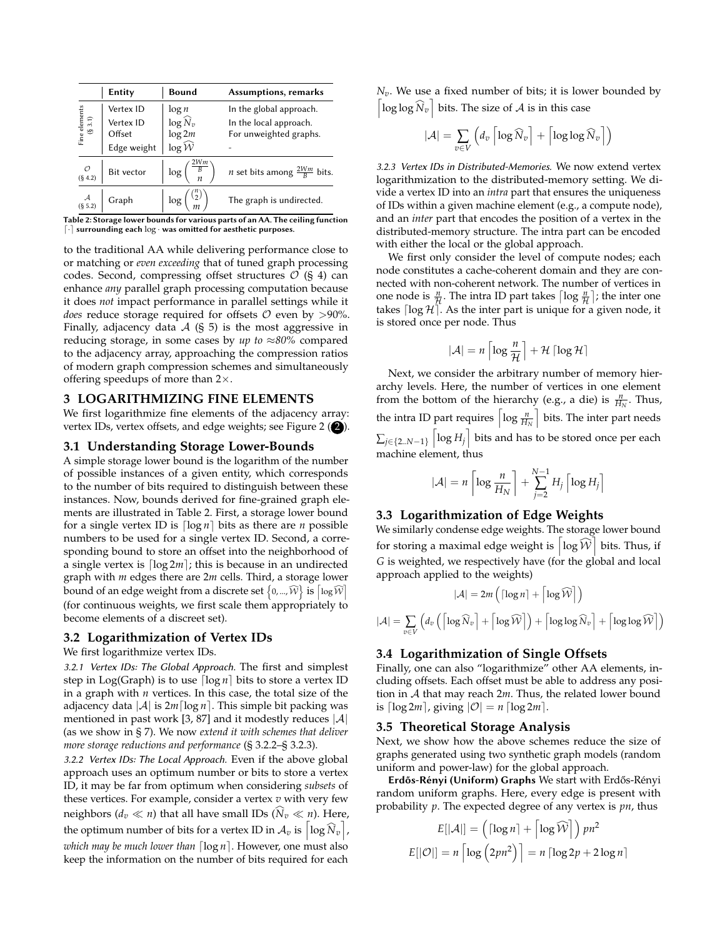<span id="page-2-6"></span>

|                             | Entity      | <b>Bound</b>         | Assumptions, remarks                          |  |  |
|-----------------------------|-------------|----------------------|-----------------------------------------------|--|--|
|                             | Vertex ID   | $\log n$             | In the global approach.                       |  |  |
| Fine elements<br>$(\S 3.1)$ | Vertex ID   | $\log \widehat{N}_v$ | In the local approach.                        |  |  |
|                             | Offset      | $\log 2m$            | For unweighted graphs.                        |  |  |
|                             | Edge weight | $\log \widehat{W}$   |                                               |  |  |
| $\mathcal{O}$<br>(§ 4.2)    | Bit vector  | log <sub>1</sub>     | <i>n</i> set bits among $\frac{2Wm}{R}$ bits. |  |  |
| $A$<br>(§ 5.2)              | Graph       | log                  | The graph is undirected.                      |  |  |

Table 2: Storage lower bounds for various parts of an AA. The ceiling function  $\lceil \cdot \rceil$  surrounding each  $\log \cdot$  was omitted for aesthetic purposes.

to the traditional AA while delivering performance close to or matching or *even exceeding* that of tuned graph processing codes. Second, compressing offset structures  $\mathcal{O}$  (§ [4\)](#page-4-2) can enhance *any* parallel graph processing computation because it does *not* impact performance in parallel settings while it *does* reduce storage required for offsets  $\mathcal O$  even by  $>90\%$ . Finally, adjacency data  $A$  (§ [5\)](#page-5-0) is the most aggressive in reducing storage, in some cases by *up to* ≈*80%* compared to the adjacency array, approaching the compression ratios of modern graph compression schemes and simultaneously offering speedups of more than 2×.

#### <span id="page-2-1"></span>**3 LOGARITHMIZING FINE ELEMENTS**

We first logarithmize fine elements of the adjacency array: vertex IDs, vertex offsets, and edge weights; see Figure [2](#page-1-2)  $(2)$ .

#### <span id="page-2-2"></span>**3.1 Understanding Storage Lower-Bounds**

A simple storage lower bound is the logarithm of the number of possible instances of a given entity, which corresponds to the number of bits required to distinguish between these instances. Now, bounds derived for fine-grained graph elements are illustrated in Table [2.](#page-2-6) First, a storage lower bound for a single vertex ID is  $\lceil \log n \rceil$  bits as there are *n* possible numbers to be used for a single vertex ID. Second, a corresponding bound to store an offset into the neighborhood of a single vertex is  $\lceil \log 2m \rceil$ ; this is because in an undirected graph with *m* edges there are 2*m* cells. Third, a storage lower bound of an edge weight from a discrete set  $\big\{$ 0,..., $\widehat{\mathcal{W}}\big\}$  is  $\big[\log\widehat{\mathcal{W}}\big]$ (for continuous weights, we first scale them appropriately to become elements of a discreet set).

## <span id="page-2-3"></span>**3.2 Logarithmization of Vertex IDs**

We first logarithmize vertex IDs.

3.2.1 Vertex IDs: The Global Approach. The first and simplest step in Log(Graph) is to use  $\lceil \log n \rceil$  bits to store a vertex ID in a graph with *n* vertices. In this case, the total size of the adjacency data  $|\mathcal{A}|$  is  $2m \lceil \log n \rceil$ . This simple bit packing was mentioned in past work [\[3,](#page-11-2) [87\]](#page-12-0) and it modestly reduces  $|\mathcal{A}|$ (as we show in § [7\)](#page-7-0). We now *extend it with schemes that deliver more storage reductions and performance* (§ [3.2.2–](#page-2-0)§ [3.2.3\)](#page-2-7).

<span id="page-2-0"></span>3.2.2 Vertex IDs: The Local Approach. Even if the above global approach uses an optimum number or bits to store a vertex ID, it may be far from optimum when considering *subsets* of these vertices. For example, consider a vertex *v* with very few neighbors  $(d_v \ll n)$  that all have small IDs  $(\widehat{N}_v \ll n)$ . Here, the optimum number of bits for a vertex ID in  $\mathcal{A}_v$  is  $\left\lceil \log\widehat{N}_v \right\rceil$ , *which may be much lower than* [log *n*]. However, one must also keep the information on the number of bits required for each

*Nv*. We use a fixed number of bits; it is lower bounded by  $\left[\log \log \widehat{N}_v\right]$  bits. The size of  $\mathcal A$  is in this case

$$
|\mathcal{A}| = \sum_{v \in V} \left( d_v \left\lceil \log \widehat{N}_v \right\rceil + \left\lceil \log \log \widehat{N}_v \right\rceil \right)
$$

<span id="page-2-7"></span>3.2.3 Vertex IDs in Distributed-Memories. We now extend vertex logarithmization to the distributed-memory setting. We divide a vertex ID into an *intra* part that ensures the uniqueness of IDs within a given machine element (e.g., a compute node), and an *inter* part that encodes the position of a vertex in the distributed-memory structure. The intra part can be encoded with either the local or the global approach.

We first only consider the level of compute nodes; each node constitutes a cache-coherent domain and they are connected with non-coherent network. The number of vertices in one node is  $\frac{n}{\mathcal{H}}$ . The intra ID part takes  $\lceil \log \frac{n}{\mathcal{H}} \rceil$ ; the inter one takes  $\lceil \log \mathcal{H} \rceil$ . As the inter part is unique for a given node, it is stored once per node. Thus

$$
|\mathcal{A}| = n \left\lceil \log \frac{n}{\mathcal{H}} \right\rceil + \mathcal{H} \left\lceil \log \mathcal{H} \right\rceil
$$

Next, we consider the arbitrary number of memory hierarchy levels. Here, the number of vertices in one element from the bottom of the hierarchy (e.g., a die) is  $\frac{n}{H_N}$ . Thus, the intra ID part requires  $\left[ \log \frac{n}{H_N} \right]$  bits. The inter part needs  $\sum_{j \in \{2..N-1\}} \left\lceil \log H_j \right\rceil$  bits and has to be stored once per each machine element, thus

$$
|\mathcal{A}| = n \left[ \log \frac{n}{H_N} \right] + \sum_{j=2}^{N-1} H_j \left[ \log H_j \right]
$$

#### **3.3 Logarithmization of Edge Weights**

We similarly condense edge weights. The storage lower bound for storing a maximal edge weight is  $\left\lceil \log\widehat{\mathcal{W}}\right\rceil$  bits. Thus, if *G* is weighted, we respectively have (for the global and local approach applied to the weights)

$$
|\mathcal{A}| = 2m \left( \lceil \log n \rceil + \left\lceil \log \widehat{\mathcal{W}} \right\rceil \right)
$$

$$
|\mathcal{A}| = \sum_{v \in V} \left( d_v \left( \left\lceil \log \widehat{N}_v \right\rceil + \left\lceil \log \widehat{W} \right\rceil \right) + \left\lceil \log \log \widehat{N}_v \right\rceil + \left\lceil \log \log \widehat{W} \right\rceil \right)
$$

## <span id="page-2-4"></span>**3.4 Logarithmization of Single Offsets**

Finally, one can also "logarithmize" other AA elements, including offsets. Each offset must be able to address any position in A that may reach 2*m*. Thus, the related lower bound is  $\lceil \log 2m \rceil$ , giving  $\lvert \mathcal{O} \rvert = n \lceil \log 2m \rceil$ .

#### <span id="page-2-5"></span>**3.5 Theoretical Storage Analysis**

Next, we show how the above schemes reduce the size of graphs generated using two synthetic graph models (random uniform and power-law) for the global approach.

Erdős-Rényi (Uniform) Graphs We start with Erdős-Rényi random uniform graphs. Here, every edge is present with probability *p*. The expected degree of any vertex is *pn*, thus

$$
E[|\mathcal{A}|] = \left( \lceil \log n \rceil + \lceil \log \widehat{\mathcal{W}} \rceil \right) p n^2
$$

$$
E[|\mathcal{O}|] = n \left[ \log \left( 2pn^2 \right) \right] = n \left[ \log 2p + 2 \log n \right]
$$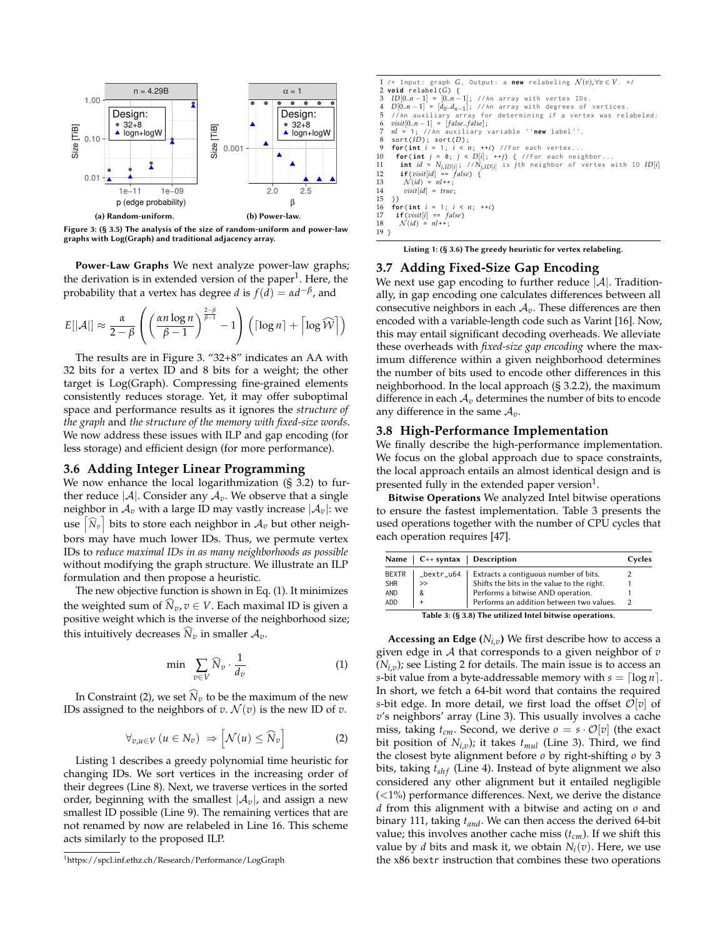<span id="page-3-3"></span>

Figure 3: (§ [3.5\)](#page-2-5) The analysis of the size of random-uniform and power-law graphs with Log(Graph) and traditional adjacency array.

Power-Law Graphs We next analyze power-law graphs; the derivation is in extended version of the paper<sup>[1](#page-0-1)</sup>. Here, the probability that a vertex has degree *d* is  $f(d) = \alpha d^{-\beta}$ , and

$$
E[|\mathcal{A}|] \approx \frac{\alpha}{2-\beta} \left( \left( \frac{\alpha n \log n}{\beta - 1} \right)^{\frac{2-\beta}{\beta - 1}} - 1 \right) \left( \lceil \log n \rceil + \lceil \log \widehat{\mathcal{W}} \rceil \right)
$$

The results are in Figure [3.](#page-3-3) "32+8" indicates an AA with 32 bits for a vertex ID and 8 bits for a weight; the other target is Log(Graph). Compressing fine-grained elements consistently reduces storage. Yet, it may offer suboptimal space and performance results as it ignores the *structure of the graph* and *the structure of the memory with fixed-size words*. We now address these issues with ILP and gap encoding (for less storage) and efficient design (for more performance).

## <span id="page-3-0"></span>**3.6 Adding Integer Linear Programming**

We now enhance the local logarithmization (§ [3.2\)](#page-2-3) to further reduce  $|\mathcal{A}|$ . Consider any  $\mathcal{A}_v$ . We observe that a single neighbor in  $A_v$  with a large ID may vastly increase  $|A_v|$ : we use  $\left[\widehat{N}_v\right]$  bits to store each neighbor in  $\mathcal{A}_v$  but other neighbors may have much lower IDs. Thus, we permute vertex IDs to *reduce maximal IDs in as many neighborhoods as possible* without modifying the graph structure. We illustrate an ILP formulation and then propose a heuristic.

The new objective function is shown in Eq. [\(1\)](#page-3-4). It minimizes the weighted sum of  $\widehat{N}_v, v \in V$ . Each maximal ID is given a positive weight which is the inverse of the neighborhood size; this intuitively decreases  $\widehat{N}_v$  in smaller  $\mathcal{A}_v.$ 

$$
\min \sum_{v \in V} \widehat{N}_v \cdot \frac{1}{d_v} \tag{1}
$$

In Constraint [\(2\)](#page-3-5), we set  $\widehat{N}_v$  to be the maximum of the new IDs assigned to the neighbors of *v*.  $\mathcal{N}(v)$  is the new ID of *v*.

$$
\forall_{v,u\in V}\left(u\in N_{v}\right)\Rightarrow\left[\mathcal{N}(u)\leq\widehat{N}_{v}\right]
$$
\n(2)

Listing [1](#page-3-6) describes a greedy polynomial time heuristic for changing IDs. We sort vertices in the increasing order of their degrees (Line [8\)](#page-3-7). Next, we traverse vertices in the sorted order, beginning with the smallest  $|\mathcal{A}_v|$ , and assign a new smallest ID possible (Line [9\)](#page-3-8). The remaining vertices that are not renamed by now are relabeled in Line [16.](#page-3-9) This scheme acts similarly to the proposed ILP.

```
1 /* Input: graph G, Output: a new relabeling \mathcal{N}(v), ∀v ∈ V. */<br>2 void relabel(G) {
 2 void relabel (G) {<br>3 ID[0 n - 1] = [0 n -3 ID[0.m — 1] = [0.m — 1]; //An array with vertex IDs.<br>4 D[0.m — 1] = [d<sub>0</sub>.d<sub>m</sub> — ]; //An array with degrees of vertices.<br>5 //An auxiliary array for determining if a vertex was relabeled:
 6 visit[0..n − 1] = [ f alse.. f alse];
  7 nl = 1; // An auxiliary variable ``new label ' '.
 8 sort(ID); sort(D);<br>9 for(int i = 1; i < n;
9 for(int i = 1; i < n; ++i) //For each vertex...<br>10 for(int j = 0; j < D[i]; ++j) { //For each neighbor...<br>11 int id = N_{j, ID[i]}; //N<sub>j,ID[i]</sub> is jth neighbor of vertex with ID ID[i]
12 if(visit[id] == f alse) {
13 N (id) = nl++;
14 visit[id] = true;
\begin{matrix} 15 & 3 \\ 16 & \textbf{fo} \end{matrix}16 for(int i = 1; i < n; ++i)<br>17 if(visit[i] == false)
17 if(visit[i] == f alse)
18 N (id) = nl++;
19 }
```
<span id="page-3-9"></span>Listing 1: (§ [3.6\)](#page-3-0) The greedy heuristic for vertex relabeling.

#### <span id="page-3-1"></span>**3.7 Adding Fixed-Size Gap Encoding**

We next use gap encoding to further reduce  $|\mathcal{A}|$ . Traditionally, in gap encoding one calculates differences between all consecutive neighbors in each  $A_v$ . These differences are then encoded with a variable-length code such as Varint [\[16\]](#page-11-5). Now, this may entail significant decoding overheads. We alleviate these overheads with *fixed-size gap encoding* where the maximum difference within a given neighborhood determines the number of bits used to encode other differences in this neighborhood. In the local approach (§ [3.2.2\)](#page-2-0), the maximum difference in each  $A_v$  determines the number of bits to encode any difference in the same  $A_v$ .

#### <span id="page-3-2"></span>**3.8 High-Performance Implementation**

We finally describe the high-performance implementation. We focus on the global approach due to space constraints, the local approach entails an almost identical design and is presented fully in the extended paper version $^{1}$ .

Bitwise Operations We analyzed Intel bitwise operations to ensure the fastest implementation. Table [3](#page-3-10) presents the used operations together with the number of CPU cycles that each operation requires [\[47\]](#page-11-6).

<span id="page-3-10"></span>

| <b>Name</b>                                            |            | $C_{++}$ syntax   Description              | Cycles |  |  |
|--------------------------------------------------------|------------|--------------------------------------------|--------|--|--|
| <b>BEXTR</b>                                           | _bextr_u64 | Extracts a contiguous number of bits.      |        |  |  |
| <b>SHR</b>                                             | >          | Shifts the bits in the value to the right. |        |  |  |
| AND                                                    | &          | Performs a bitwise AND operation.          |        |  |  |
| <b>ADD</b>                                             |            | Performs an addition between two values.   |        |  |  |
| Table 2: (8.2.8) The utilized Intel bitwise enerations |            |                                            |        |  |  |

Table 3: (§ [3.8\)](#page-3-2) The utilized Intel bitwise operations.

<span id="page-3-5"></span><span id="page-3-4"></span>Accessing an Edge (*Ni*,*<sup>v</sup>* ) We first describe how to access a given edge in A that corresponds to a given neighbor of *v*  $(N_{i,v})$ ; see Listing [2](#page-4-3) for details. The main issue is to access an *s*-bit value from a byte-addressable memory with  $s = \lceil \log n \rceil$ . In short, we fetch a 64-bit word that contains the required *s*-bit edge. In more detail, we first load the offset  $\mathcal{O}[v]$  of *v*'s neighbors' array (Line 3). This usually involves a cache miss, taking  $t_{cm}$ . Second, we derive  $o = s \cdot \mathcal{O}[v]$  (the exact bit position of *Ni*,*<sup>v</sup>* ); it takes *tmul* (Line 3). Third, we find the closest byte alignment before *o* by right-shifting *o* by 3 bits, taking  $t_{shf}$  (Line 4). Instead of byte alignment we also considered any other alignment but it entailed negligible  $(<1%)$  performance differences. Next, we derive the distance *d* from this alignment with a bitwise and acting on *o* and binary 111, taking *tand*. We can then access the derived 64-bit value; this involves another cache miss (*tcm*). If we shift this value by *d* bits and mask it, we obtain *N<sup>i</sup>* (*v*). Here, we use the x86 bextr instruction that combines these two operations

<sup>1</sup><https://spcl.inf.ethz.ch/Research/Performance/LogGraph>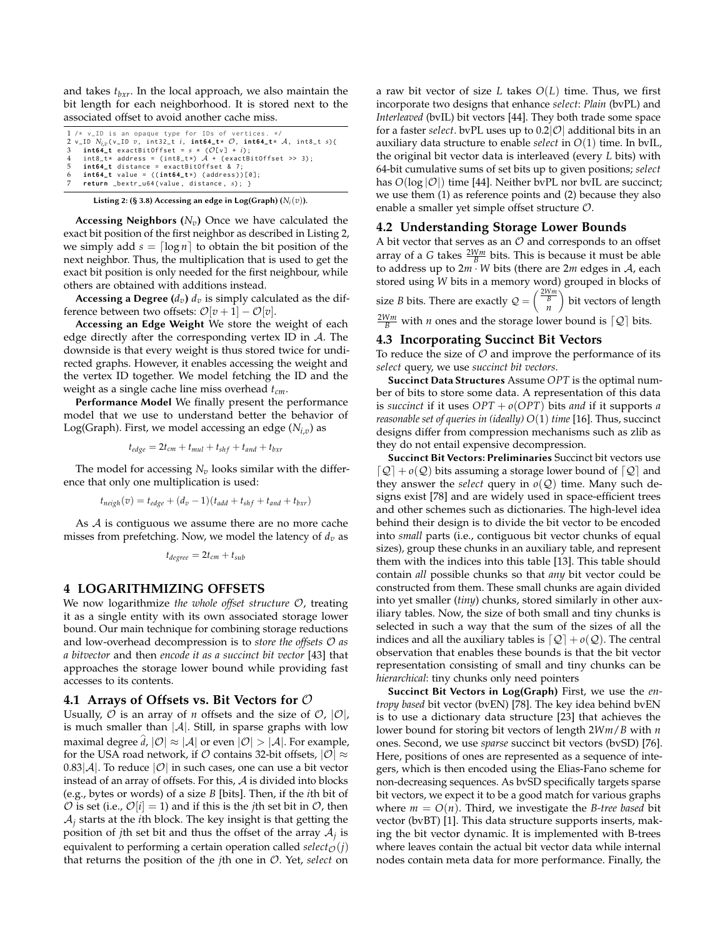and takes *tbxr*. In the local approach, we also maintain the bit length for each neighborhood. It is stored next to the associated offset to avoid another cache miss.

```
1 /* v<sub>-</sub>ID is an opaque type for IDs of vertices. */
 2 v_ID Ni,v ( v_ID v, int32_t i, int64_t * O, int64_t * A, int8_t s) {
3 int64_t exactBitOffset = s * (O[ v ] + i) ;
     int8_t * address = (int8_t *) / A + (exactBitOffset >> 3);5 int64_t distance = exactBitOffset & 7;
     6 int64_t value = (( int64_t *) ( address ) ) [0];
     7 return _bextr_u64 ( value , distance , s) ; }
```
Listing 2: (§ [3.8\)](#page-3-2) Accessing an edge in Log(Graph)  $(N_i(v))$ .

Accessing Neighbors (*Nv*) Once we have calculated the exact bit position of the first neighbor as described in Listing [2,](#page-4-3) we simply add  $s = \lfloor \log n \rfloor$  to obtain the bit position of the next neighbor. Thus, the multiplication that is used to get the exact bit position is only needed for the first neighbour, while others are obtained with additions instead.

Accessing a Degree  $(d_v)$   $d_v$  is simply calculated as the difference between two offsets:  $\mathcal{O}[v+1] - \mathcal{O}[v]$ .

Accessing an Edge Weight We store the weight of each edge directly after the corresponding vertex ID in A. The downside is that every weight is thus stored twice for undirected graphs. However, it enables accessing the weight and the vertex ID together. We model fetching the ID and the weight as a single cache line miss overhead *tcm*.

Performance Model We finally present the performance model that we use to understand better the behavior of Log(Graph). First, we model accessing an edge (*Ni*,*<sup>v</sup>* ) as

 $t_{edge} = 2t_{cm} + t_{mul} + t_{shf} + t_{and} + t_{bxr}$ 

The model for accessing  $N_v$  looks similar with the difference that only one multiplication is used:

$$
t_{neigh}(v) = t_{edge} + (d_v - 1)(t_{add} + t_{shf} + t_{and} + t_{bxr})
$$

As  $\mathcal A$  is contiguous we assume there are no more cache misses from prefetching. Now, we model the latency of *dv* as

$$
t_{degree} = 2t_{cm} + t_{sub}
$$

#### <span id="page-4-2"></span>**4 LOGARITHMIZING OFFSETS**

We now logarithmize *the whole offset structure* O, treating it as a single entity with its own associated storage lower bound. Our main technique for combining storage reductions and low-overhead decompression is to *store the offsets* O *as a bitvector* and then *encode it as a succinct bit vector* [\[43\]](#page-11-7) that approaches the storage lower bound while providing fast accesses to its contents.

#### **4.1 Arrays of Offsets vs. Bit Vectors for** O

Usually,  $\mathcal O$  is an array of *n* offsets and the size of  $\mathcal O$ ,  $\mathcal O$ , is much smaller than  $|A|$ . Still, in sparse graphs with low maximal degree  $\widehat{d}$ ,  $|\mathcal{O}| \approx |\mathcal{A}|$  or even  $|\mathcal{O}| > |\mathcal{A}|.$  For example, for the USA road network, if  $O$  contains 32-bit offsets,  $|O| \approx$  $0.83|\mathcal{A}|$ . To reduce  $|\mathcal{O}|$  in such cases, one can use a bit vector instead of an array of offsets. For this, A is divided into blocks (e.g., bytes or words) of a size *B* [bits]. Then, if the *i*th bit of  $O$  is set (i.e.,  $O[i] = 1$ ) and if this is the *j*th set bit in  $O$ , then A*<sup>j</sup>* starts at the *i*th block. The key insight is that getting the position of *j*th set bit and thus the offset of the array  $A_j$  is equivalent to performing a certain operation called *select* $\phi(i)$ that returns the position of the *j*th one in O. Yet, *select* on

a raw bit vector of size *L* takes *O*(*L*) time. Thus, we first incorporate two designs that enhance *select*: *Plain* (bvPL) and *Interleaved* (bvIL) bit vectors [\[44\]](#page-11-8). They both trade some space for a faster *select*. bvPL uses up to  $0.2|\mathcal{O}|$  additional bits in an auxiliary data structure to enable *select* in *O*(1) time. In bvIL, the original bit vector data is interleaved (every *L* bits) with 64-bit cumulative sums of set bits up to given positions; *select* has  $O(\log |\mathcal{O}|)$  time [\[44\]](#page-11-8). Neither bvPL nor bvIL are succinct; we use them (1) as reference points and (2) because they also enable a smaller yet simple offset structure O.

#### <span id="page-4-0"></span>**4.2 Understanding Storage Lower Bounds**

A bit vector that serves as an  $O$  and corresponds to an offset array of a *G* takes  $\frac{2Wm}{B}$  bits. This is because it must be able to address up to 2*m* · *W* bits (there are 2*m* edges in A, each stored using *W* bits in a memory word) grouped in blocks of

size *B* bits. There are exactly  $Q = \begin{pmatrix} \frac{2Wm}{B} \\ n \end{pmatrix}$  bit vectors of length  $\frac{2Wm}{B}$  with *n* ones and the storage lower bound is  $\lceil \mathcal{Q} \rceil$  bits.

#### <span id="page-4-1"></span>**4.3 Incorporating Succinct Bit Vectors**

To reduce the size of  $\mathcal O$  and improve the performance of its *select* query, we use *succinct bit vectors*.

Succinct Data Structures Assume *OPT* is the optimal number of bits to store some data. A representation of this data is *succinct* if it uses *OPT* + *o*(*OPT*) bits *and* if it supports *a reasonable set of queries in (ideally) O*(1) *time* [\[16\]](#page-11-5). Thus, succinct designs differ from compression mechanisms such as zlib as they do not entail expensive decompression.

Succinct Bit Vectors: Preliminaries Succinct bit vectors use  $\lceil \mathcal{Q} \rceil$  +  $o(\mathcal{Q})$  bits assuming a storage lower bound of  $\lceil \mathcal{Q} \rceil$  and they answer the *select* query in  $o(Q)$  time. Many such designs exist [\[78\]](#page-12-1) and are widely used in space-efficient trees and other schemes such as dictionaries. The high-level idea behind their design is to divide the bit vector to be encoded into *small* parts (i.e., contiguous bit vector chunks of equal sizes), group these chunks in an auxiliary table, and represent them with the indices into this table [\[13\]](#page-11-9). This table should contain *all* possible chunks so that *any* bit vector could be constructed from them. These small chunks are again divided into yet smaller (*tiny*) chunks, stored similarly in other auxiliary tables. Now, the size of both small and tiny chunks is selected in such a way that the sum of the sizes of all the indices and all the auxiliary tables is  $\lceil \mathcal{Q} \rceil + o(\mathcal{Q})$ . The central observation that enables these bounds is that the bit vector representation consisting of small and tiny chunks can be *hierarchical*: tiny chunks only need pointers

Succinct Bit Vectors in Log(Graph) First, we use the *entropy based* bit vector (bvEN) [\[78\]](#page-12-1). The key idea behind bvEN is to use a dictionary data structure [\[23\]](#page-11-10) that achieves the lower bound for storing bit vectors of length 2*Wm*/*B* with *n* ones. Second, we use *sparse* succinct bit vectors (bvSD) [\[76\]](#page-12-2). Here, positions of ones are represented as a sequence of integers, which is then encoded using the Elias-Fano scheme for non-decreasing sequences. As bvSD specifically targets sparse bit vectors, we expect it to be a good match for various graphs where  $m = O(n)$ . Third, we investigate the *B-tree based* bit vector (bvBT) [\[1\]](#page-11-11). This data structure supports inserts, making the bit vector dynamic. It is implemented with B-trees where leaves contain the actual bit vector data while internal nodes contain meta data for more performance. Finally, the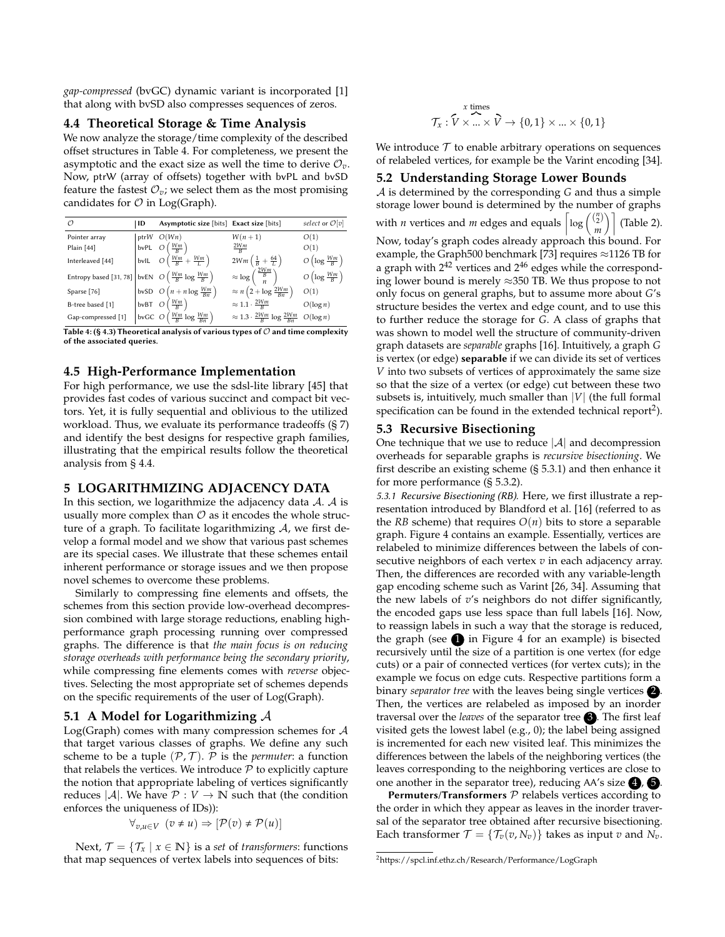*gap-compressed* (bvGC) dynamic variant is incorporated [\[1\]](#page-11-11) that along with bvSD also compresses sequences of zeros.

### <span id="page-5-3"></span>**4.4 Theoretical Storage & Time Analysis**

We now analyze the storage/time complexity of the described offset structures in Table [4.](#page-5-2) For completeness, we present the asymptotic and the exact size as well the time to derive  $\mathcal{O}_v$ . Now, ptrW (array of offsets) together with bvPL and bvSD feature the fastest  $\mathcal{O}_v$ ; we select them as the most promising candidates for  $\mathcal O$  in Log(Graph).

<span id="page-5-2"></span>

| Ω                                                                        | ID | Asymptotic size [bits] Exact size [bits]           |                                                       | select or $\mathcal{O}[v]$        |
|--------------------------------------------------------------------------|----|----------------------------------------------------|-------------------------------------------------------|-----------------------------------|
| Pointer array                                                            |    | ptr $W$ $O(Wn)$                                    | $W(n+1)$                                              | O(1)                              |
| Plain [44]                                                               |    | bvPL $O\left(\frac{Wm}{B}\right)$                  | $\frac{2Wm}{R}$                                       | O(1)                              |
| Interleaved [44]                                                         |    | bvlL $O\left(\frac{Wm}{B} + \frac{Wm}{L}\right)$   | $2Wm\left(\frac{1}{B}+\frac{64}{L}\right)$            | $O\left(\log \frac{Wm}{B}\right)$ |
| Entropy based [31, 78] bvEN $O\left(\frac{Wm}{B}\log\frac{Wm}{B}\right)$ |    |                                                    | $\approx \log\left(\frac{\frac{2Wm}{B}}{n}\right)$    | $O\left(\log \frac{Wm}{B}\right)$ |
| Sparse [76]                                                              |    | bvSD $O(n + n \log \frac{Wm}{Bn})$                 | $\approx n\left(2+\log\frac{2Wm}{Bn}\right)$          | O(1)                              |
| B-tree based [1]                                                         |    | bvBT $O\left(\frac{Wm}{B}\right)$                  | $\approx 1.1 \cdot \frac{2Wm}{R}$                     | $O(\log n)$                       |
| Gap-compressed [1]                                                       |    | bvGC $O\left(\frac{Wm}{B}\log\frac{Wm}{Bn}\right)$ | $\approx 1.3 \cdot \frac{2Wm}{B} \log \frac{2Wm}{Bn}$ | $O(\log n)$                       |

Table 4: (§ [4.3\)](#page-4-1) Theoretical analysis of various types of  $\mathcal O$  and time complexity of the associated queries.

#### **4.5 High-Performance Implementation**

For high performance, we use the sdsl-lite library [\[45\]](#page-11-13) that provides fast codes of various succinct and compact bit vectors. Yet, it is fully sequential and oblivious to the utilized workload. Thus, we evaluate its performance tradeoffs (§ [7\)](#page-7-0) and identify the best designs for respective graph families, illustrating that the empirical results follow the theoretical analysis from § [4.4.](#page-5-3)

# <span id="page-5-0"></span>**5 LOGARITHMIZING ADJACENCY DATA**

In this section, we logarithmize the adjacency data  $A$ .  $A$  is usually more complex than  $\mathcal O$  as it encodes the whole structure of a graph. To facilitate logarithmizing  $A$ , we first develop a formal model and we show that various past schemes are its special cases. We illustrate that these schemes entail inherent performance or storage issues and we then propose novel schemes to overcome these problems.

Similarly to compressing fine elements and offsets, the schemes from this section provide low-overhead decompression combined with large storage reductions, enabling highperformance graph processing running over compressed graphs. The difference is that *the main focus is on reducing storage overheads with performance being the secondary priority*, while compressing fine elements comes with *reverse* objectives. Selecting the most appropriate set of schemes depends on the specific requirements of the user of Log(Graph).

#### **5.1 A Model for Logarithmizing** A

Log(Graph) comes with many compression schemes for A that target various classes of graphs. We define any such scheme to be a tuple  $(\mathcal{P}, \mathcal{T})$ .  $\mathcal P$  is the *permuter*: a function that relabels the vertices. We introduce  $P$  to explicitly capture the notion that appropriate labeling of vertices significantly reduces  $|\mathcal{A}|$ . We have  $\mathcal{P}: V \to \mathbb{N}$  such that (the condition enforces the uniqueness of IDs)):

$$
\forall_{v,u \in V} \ (v \neq u) \Rightarrow [\mathcal{P}(v) \neq \mathcal{P}(u)]
$$

Next,  $\mathcal{T} = {\mathcal{T}_x \mid x \in \mathbb{N}}$  is a *set* of *transformers*: functions that map sequences of vertex labels into sequences of bits:

$$
\mathcal{T}_x: \overset{x \text{ times}}{\mathcal{V}} \times \overset{x}{\ldots} \times \overset{y}{\mathcal{V}} \to \{0,1\} \times \ldots \times \{0,1\}
$$

We introduce  $\mathcal T$  to enable arbitrary operations on sequences of relabeled vertices, for example be the Varint encoding [\[34\]](#page-11-14).

#### <span id="page-5-1"></span>**5.2 Understanding Storage Lower Bounds**

A is determined by the corresponding *G* and thus a simple storage lower bound is determined by the number of graphs with *n* vertices and *m* edges and equals  $\left[ \log \left( \frac{ {n \choose 2}}{2} \right) \right]$  $\binom{n}{2}$  (Table [2\)](#page-2-6). Now, today's graph codes already approach this bound. For example, the Graph500 benchmark [\[73\]](#page-12-3) requires ≈1126 TB for a graph with  $2^{42}$  vertices and  $2^{46}$  edges while the corresponding lower bound is merely ≈350 TB. We thus propose to not only focus on general graphs, but to assume more about *G*'s structure besides the vertex and edge count, and to use this to further reduce the storage for *G*. A class of graphs that was shown to model well the structure of community-driven graph datasets are *separable* graphs [\[16\]](#page-11-5). Intuitively, a graph *G* is vertex (or edge) separable if we can divide its set of vertices *V* into two subsets of vertices of approximately the same size so that the size of a vertex (or edge) cut between these two subsets is, intuitively, much smaller than |*V*| (the full formal specification can be found in the extended technical report<sup>[2](#page-0-1)</sup>).

## **5.3 Recursive Bisectioning**

One technique that we use to reduce  $|\mathcal{A}|$  and decompression overheads for separable graphs is *recursive bisectioning*. We first describe an existing scheme (§ [5.3.1\)](#page-5-4) and then enhance it for more performance (§ [5.3.2\)](#page-6-0).

<span id="page-5-4"></span>5.3.1 Recursive Bisectioning (RB). Here, we first illustrate a representation introduced by Blandford et al. [\[16\]](#page-11-5) (referred to as the *RB* scheme) that requires  $O(n)$  bits to store a separable graph. Figure [4](#page-6-1) contains an example. Essentially, vertices are relabeled to minimize differences between the labels of consecutive neighbors of each vertex *v* in each adjacency array. Then, the differences are recorded with any variable-length gap encoding scheme such as Varint [\[26,](#page-11-15) [34\]](#page-11-14). Assuming that the new labels of *v*'s neighbors do not differ significantly, the encoded gaps use less space than full labels [\[16\]](#page-11-5). Now, to reassign labels in such a way that the storage is reduced, the graph (see  $\Box$ ) in Figure [4](#page-6-1) for an example) is bisected recursively until the size of a partition is one vertex (for edge cuts) or a pair of connected vertices (for vertex cuts); in the example we focus on edge cuts. Respective partitions form a binary *separator tree* with the leaves being single vertices **2**. Then, the vertices are relabeled as imposed by an inorder traversal over the *leaves* of the separator tree **3**. The first leaf visited gets the lowest label (e.g., 0); the label being assigned is incremented for each new visited leaf. This minimizes the differences between the labels of the neighboring vertices (the leaves corresponding to the neighboring vertices are close to one another in the separator tree), reducing AA's size  $\bigcirc$ ,  $\bigcirc$ .

**Permuters/Transformers**  $P$  relabels vertices according to the order in which they appear as leaves in the inorder traversal of the separator tree obtained after recursive bisectioning. Each transformer  $\mathcal{T} = {\mathcal{T}_v(v, N_v)}$  takes as input *v* and  $N_v$ .

<sup>2</sup><https://spcl.inf.ethz.ch/Research/Performance/LogGraph>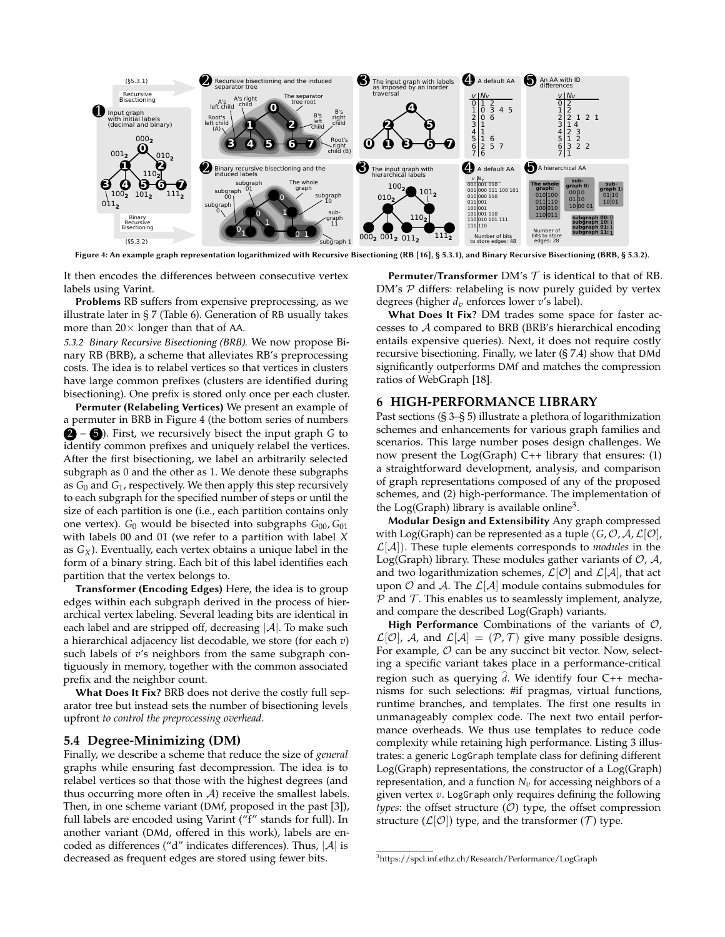<span id="page-6-1"></span>

Figure 4: An example graph representation logarithmized with Recursive Bisectioning (RB [\[16\]](#page-11-5), § [5.3.1\)](#page-5-4), and Binary Recursive Bisectioning (BRB, § [5.3.2\)](#page-6-0).

It then encodes the differences between consecutive vertex labels using Varint.

Problems RB suffers from expensive preprocessing, as we illustrate later in § [7](#page-7-0) (Table [6\)](#page-9-0). Generation of RB usually takes more than  $20 \times$  longer than that of AA.

<span id="page-6-0"></span>5.3.2 Binary Recursive Bisectioning (BRB). We now propose Binary RB (BRB), a scheme that alleviates RB's preprocessing costs. The idea is to relabel vertices so that vertices in clusters have large common prefixes (clusters are identified during bisectioning). One prefix is stored only once per each cluster.

Permuter (Relabeling Vertices) We present an example of a permuter in BRB in Figure [4](#page-6-1) (the bottom series of numbers 2 – 5 ). First, we recursively bisect the input graph *G* to identify common prefixes and uniquely relabel the vertices. After the first bisectioning, we label an arbitrarily selected subgraph as 0 and the other as 1. We denote these subgraphs as *G*<sup>0</sup> and *G*<sup>1</sup> , respectively. We then apply this step recursively to each subgraph for the specified number of steps or until the size of each partition is one (i.e., each partition contains only one vertex). *G*<sup>0</sup> would be bisected into subgraphs *G*00, *G*<sup>01</sup> with labels 00 and 01 (we refer to a partition with label *X* as *GX*). Eventually, each vertex obtains a unique label in the form of a binary string. Each bit of this label identifies each partition that the vertex belongs to.

Transformer (Encoding Edges) Here, the idea is to group edges within each subgraph derived in the process of hierarchical vertex labeling. Several leading bits are identical in each label and are stripped off, decreasing  $|\mathcal{A}|$ . To make such a hierarchical adjacency list decodable, we store (for each *v*) such labels of  $v$ 's neighbors from the same subgraph contiguously in memory, together with the common associated prefix and the neighbor count.

What Does It Fix? BRB does not derive the costly full separator tree but instead sets the number of bisectioning levels upfront *to control the preprocessing overhead*.

#### <span id="page-6-3"></span>**5.4 Degree-Minimizing (DM)**

Finally, we describe a scheme that reduce the size of *general* graphs while ensuring fast decompression. The idea is to relabel vertices so that those with the highest degrees (and thus occurring more often in  $A$ ) receive the smallest labels. Then, in one scheme variant (DMf, proposed in the past [\[3\]](#page-11-2)), full labels are encoded using Varint ("f" stands for full). In another variant (DMd, offered in this work), labels are encoded as differences ("d" indicates differences). Thus,  $|A|$  is decreased as frequent edges are stored using fewer bits.

**Permuter/Transformer** DM's  $T$  is identical to that of RB.  $DM's$   $P$  differs: relabeling is now purely guided by vertex degrees (higher *dv* enforces lower *v*'s label).

What Does It Fix? DM trades some space for faster accesses to A compared to BRB (BRB's hierarchical encoding entails expensive queries). Next, it does not require costly recursive bisectioning. Finally, we later (§ [7.4\)](#page-9-1) show that DMd significantly outperforms DMf and matches the compression ratios of WebGraph [\[18\]](#page-11-1).

#### <span id="page-6-2"></span>**6 HIGH-PERFORMANCE LIBRARY**

Past sections (§ [3–](#page-2-1)§ [5\)](#page-5-0) illustrate a plethora of logarithmization schemes and enhancements for various graph families and scenarios. This large number poses design challenges. We now present the  $Log(Graph)$  C++ library that ensures: (1) a straightforward development, analysis, and comparison of graph representations composed of any of the proposed schemes, and (2) high-performance. The implementation of the Log(Graph) library is available online<sup>[3](#page-0-1)</sup>.

Modular Design and Extensibility Any graph compressed with Log(Graph) can be represented as a tuple  $(G, \mathcal{O}, \mathcal{A}, \mathcal{L}[\mathcal{O}],$  $\mathcal{L}[\mathcal{A}]$ ). These tuple elements corresponds to *modules* in the Log(Graph) library. These modules gather variants of  $O$ ,  $A$ , and two logarithmization schemes,  $\mathcal{L}[\mathcal{O}]$  and  $\mathcal{L}[\mathcal{A}]$ , that act upon  $O$  and  $A$ . The  $\mathcal{L}[A]$  module contains submodules for  $P$  and  $T$ . This enables us to seamlessly implement, analyze, and compare the described Log(Graph) variants.

High Performance Combinations of the variants of  $O$ ,  $\mathcal{L}[\mathcal{O}]$ , A, and  $\mathcal{L}[\mathcal{A}] = (\mathcal{P}, \mathcal{T})$  give many possible designs. For example,  $O$  can be any succinct bit vector. Now, selecting a specific variant takes place in a performance-critical region such as querying  $\hat{d}$ . We identify four C++ mechanisms for such selections: #if pragmas, virtual functions, runtime branches, and templates. The first one results in unmanageably complex code. The next two entail performance overheads. We thus use templates to reduce code complexity while retaining high performance. Listing [3](#page-7-1) illustrates: a generic LogGraph template class for defining different Log(Graph) representations, the constructor of a Log(Graph) representation, and a function  $N_v$  for accessing neighbors of a given vertex *v*. LogGraph only requires defining the following *types*: the offset structure  $(0)$  type, the offset compression structure  $(L[O])$  type, and the transformer  $(T)$  type.

<sup>3</sup>https://spcl.inf.ethz.ch/Research/Performance/LogGraph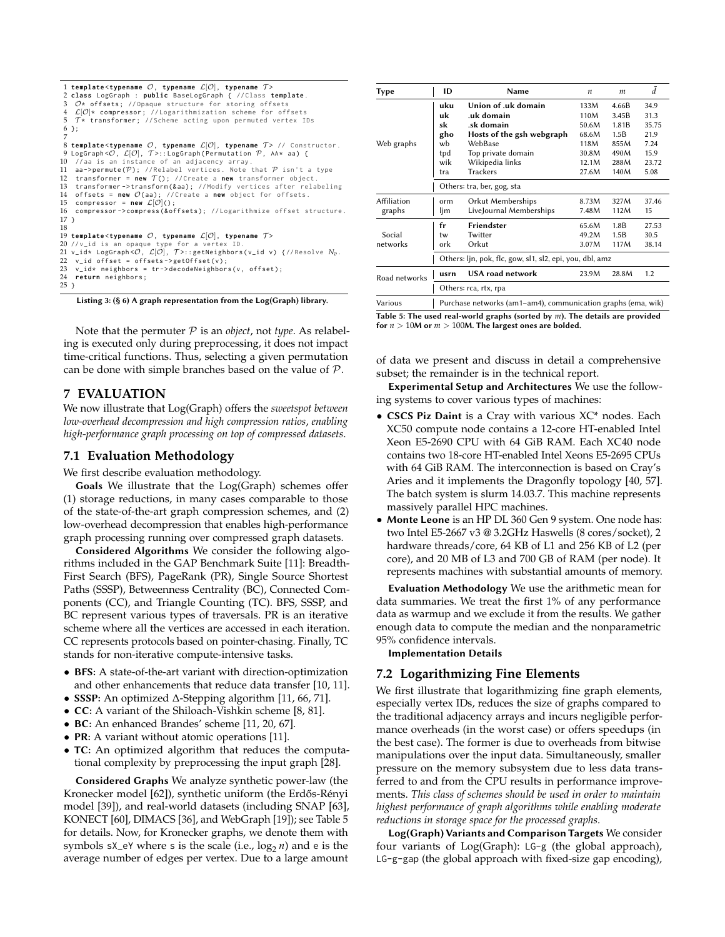```
1 template <typename O, typename L[O], typename T >
  2 class LogGraph : public BaseLogGraph { // Class template .
3 O* offsets ; // Opaque structure for storing offsets
  4  \mathcal{L}[\mathcal{O}]* compressor; //Logarithmization scheme for offsets<br>5  \mathcal{T}* transformer; //Scheme acting upon permuted vertex IDs
 6 };
  7
8 template <typename O, typename L[O], typename T > // Constructor .
9 LogGraph \langle \mathcal{O}, \mathcal{L}[\mathcal{O}], \mathcal{T} \rangle::LogGraph (Permutation \mathcal{P}, AA* aa) {<br>10 //aa is an instance of an adiacency array
        ence is an instance of an adjacency array
11 aa -> permute (\mathcal{P}): // Relabel vertices. Note that \mathcal P isn't a type
12 transformer = new T(); //Create a new transformer object .<br>13 transformer->transform(&aa): //Modify vertices after rela
      transformer -> transform (& aa ); // Modify vertices after relabeling
14 offsets = new \mathcal{O}(aa); //Create a new object for offsets.<br>15 compressor = new \mathcal{L}[\mathcal{O}]():
15 compressor = new \mathcal{L}[\mathcal{O}](0);<br>16 compressor->compress(&of
     compressor -> compress (& offsets); // Logarithmize offset structure.
17 }
18
19 template <typename O, typename L[O], typename T >
20 //v_id is an opaque type for a vertex ID.<br>21 v_id* LogGraph<O, L[O], 7>::getNeighbors(v_id v) {//Resolve N<sub>v</sub>.<br>22  v_id offset = offsets->getOffset(v);
23 v_id* neighbors = tr->decodeNeighbors (v, offset);<br>24 return neighbors :
     return neighbors;
25 }
```
Listing 3: (§ [6\)](#page-6-2) A graph representation from the Log(Graph) library.

Note that the permuter P is an *object*, not *type*. As relabeling is executed only during preprocessing, it does not impact time-critical functions. Thus, selecting a given permutation can be done with simple branches based on the value of  $P$ .

## <span id="page-7-0"></span>**7 EVALUATION**

We now illustrate that Log(Graph) offers the *sweetspot between low-overhead decompression and high compression ratios*, *enabling high-performance graph processing on top of compressed datasets*.

## **7.1 Evaluation Methodology**

We first describe evaluation methodology.

Goals We illustrate that the Log(Graph) schemes offer (1) storage reductions, in many cases comparable to those of the state-of-the-art graph compression schemes, and (2) low-overhead decompression that enables high-performance graph processing running over compressed graph datasets.

Considered Algorithms We consider the following algorithms included in the GAP Benchmark Suite [\[11\]](#page-11-3): Breadth-First Search (BFS), PageRank (PR), Single Source Shortest Paths (SSSP), Betweenness Centrality (BC), Connected Components (CC), and Triangle Counting (TC). BFS, SSSP, and BC represent various types of traversals. PR is an iterative scheme where all the vertices are accessed in each iteration. CC represents protocols based on pointer-chasing. Finally, TC stands for non-iterative compute-intensive tasks.

- BFS: A state-of-the-art variant with direction-optimization and other enhancements that reduce data transfer [\[10,](#page-11-16) [11\]](#page-11-3).
- SSSP: An optimized ∆-Stepping algorithm [\[11,](#page-11-3) [66,](#page-11-17) [71\]](#page-12-4).
- CC: A variant of the Shiloach-Vishkin scheme [\[8,](#page-11-18) [81\]](#page-12-5).
- BC: An enhanced Brandes' scheme [\[11,](#page-11-3) [20,](#page-11-19) [67\]](#page-11-20).
- **PR:** A variant without atomic operations [\[11\]](#page-11-3).
- TC: An optimized algorithm that reduces the computational complexity by preprocessing the input graph [\[28\]](#page-11-21).

Considered Graphs We analyze synthetic power-law (the Kronecker model [\[62\]](#page-11-22)), synthetic uniform (the Erdős-Rényi model [\[39\]](#page-11-23)), and real-world datasets (including SNAP [\[63\]](#page-11-24), KONECT [\[60\]](#page-11-25), DIMACS [\[36\]](#page-11-26), and WebGraph [\[19\]](#page-11-27)); see Table [5](#page-7-2) for details. Now, for Kronecker graphs, we denote them with symbols sX<sub>-</sub>eY where s is the scale (i.e.,  $\log_2 n$ ) and e is the average number of edges per vertex. Due to a large amount

<span id="page-7-2"></span>

| Type          | ID                                                           | Name                       | n     | m     | Ā     |  |
|---------------|--------------------------------------------------------------|----------------------------|-------|-------|-------|--|
|               | uku                                                          | Union of .uk domain        | 133M  | 4.66B | 34.9  |  |
|               | uk                                                           | .uk domain                 | 110M  | 3.45B | 31.3  |  |
|               | sk                                                           | .sk domain                 | 50.6M | 1.81B | 35.75 |  |
|               | gho                                                          | Hosts of the gsh webgraph  | 68.6M | 1.5B  | 21.9  |  |
| Web graphs    | wb                                                           | WebBase                    | 118M  | 855M  | 7.24  |  |
|               | tpd                                                          | Top private domain         | 30.8M | 490M  | 15.9  |  |
|               | wik                                                          | Wikipedia links            | 12.1M | 288M  | 23.72 |  |
|               | tra                                                          | <b>Trackers</b>            | 27.6M | 140M  | 5.08  |  |
|               |                                                              | Others: tra, ber, gog, sta |       |       |       |  |
| Affiliation   | orm                                                          | Orkut Memberships          | 8.73M | 327M  | 37.46 |  |
| graphs        | ljm                                                          | LiveJournal Memberships    | 7.48M | 112M  | 15    |  |
|               | fr                                                           | Friendster                 | 65.6M | 1.8B  | 27.53 |  |
| Social        | tw                                                           | Twitter                    | 49.2M | 1.5B  | 30.5  |  |
| networks      | ork                                                          | Orkut                      | 3.07M | 117M  | 38.14 |  |
|               | Others: ljn, pok, flc, gow, sl1, sl2, epi, you, dbl, amz     |                            |       |       |       |  |
| Road networks | usrn                                                         | USA road network           | 23.9M | 28.8M | 1.2   |  |
|               | Others: rca, rtx, rpa                                        |                            |       |       |       |  |
| Various       | Purchase networks (am1-am4), communication graphs (ema, wik) |                            |       |       |       |  |

Table 5: The used real-world graphs (sorted by *m*). The details are provided for  $n > 10M$  or  $m > 100M$ . The largest ones are bolded.

of data we present and discuss in detail a comprehensive subset; the remainder is in the technical report.

Experimental Setup and Architectures We use the following systems to cover various types of machines:

- CSCS Piz Daint is a Cray with various XC\* nodes. Each XC50 compute node contains a 12-core HT-enabled Intel Xeon E5-2690 CPU with 64 GiB RAM. Each XC40 node contains two 18-core HT-enabled Intel Xeons E5-2695 CPUs with 64 GiB RAM. The interconnection is based on Cray's Aries and it implements the Dragonfly topology [\[40,](#page-11-28) [57\]](#page-11-29). The batch system is slurm 14.03.7. This machine represents massively parallel HPC machines.
- Monte Leone is an HP DL 360 Gen 9 system. One node has: two Intel E5-2667 v3 @ 3.2GHz Haswells (8 cores/socket), 2 hardware threads/core, 64 KB of L1 and 256 KB of L2 (per core), and 20 MB of L3 and 700 GB of RAM (per node). It represents machines with substantial amounts of memory.

Evaluation Methodology We use the arithmetic mean for data summaries. We treat the first 1% of any performance data as warmup and we exclude it from the results. We gather enough data to compute the median and the nonparametric 95% confidence intervals.

Implementation Details

# <span id="page-7-3"></span>**7.2 Logarithmizing Fine Elements**

We first illustrate that logarithmizing fine graph elements, especially vertex IDs, reduces the size of graphs compared to the traditional adjacency arrays and incurs negligible performance overheads (in the worst case) or offers speedups (in the best case). The former is due to overheads from bitwise manipulations over the input data. Simultaneously, smaller pressure on the memory subsystem due to less data transferred to and from the CPU results in performance improvements. *This class of schemes should be used in order to maintain highest performance of graph algorithms while enabling moderate reductions in storage space for the processed graphs.*

Log(Graph) Variants and Comparison Targets We consider four variants of Log(Graph): LG-g (the global approach), LG-g-gap (the global approach with fixed-size gap encoding),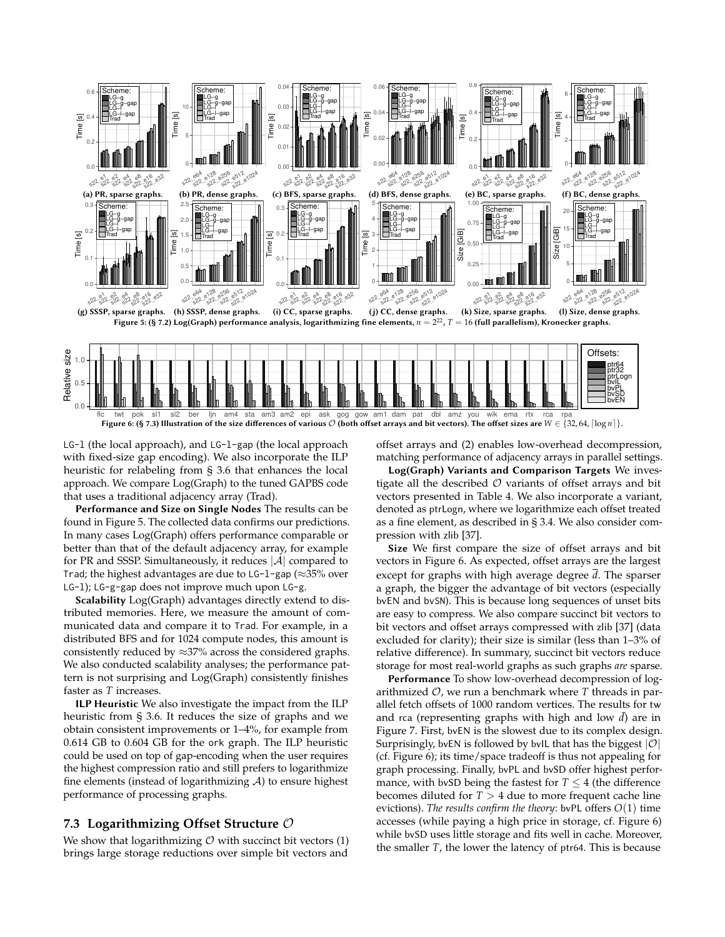<span id="page-8-1"></span>

<span id="page-8-2"></span>Figure 6: (§ [7.3\)](#page-8-0) Illustration of the size differences of various  $\mathcal O$  (both offset arrays and bit vectors). The offset sizes are  $W \in \{32, 64, \lceil \log n \rceil\}.$ 

LG-l (the local approach), and LG-l-gap (the local approach with fixed-size gap encoding). We also incorporate the ILP heuristic for relabeling from § [3.6](#page-3-0) that enhances the local approach. We compare Log(Graph) to the tuned GAPBS code that uses a traditional adjacency array (Trad).

Performance and Size on Single Nodes The results can be found in Figure [5.](#page-8-1) The collected data confirms our predictions. In many cases Log(Graph) offers performance comparable or better than that of the default adjacency array, for example for PR and SSSP. Simultaneously, it reduces  $|\mathcal{A}|$  compared to Trad; the highest advantages are due to  $LG-1$ -gap ( $\approx$ 35% over LG-l); LG-g-gap does not improve much upon LG-g.

Scalability Log(Graph) advantages directly extend to distributed memories. Here, we measure the amount of communicated data and compare it to Trad. For example, in a distributed BFS and for 1024 compute nodes, this amount is consistently reduced by  $\approx$ 37% across the considered graphs. We also conducted scalability analyses; the performance pattern is not surprising and Log(Graph) consistently finishes faster as *T* increases.

ILP Heuristic We also investigate the impact from the ILP heuristic from § [3.6.](#page-3-0) It reduces the size of graphs and we obtain consistent improvements or 1–4%, for example from 0.614 GB to 0.604 GB for the ork graph. The ILP heuristic could be used on top of gap-encoding when the user requires the highest compression ratio and still prefers to logarithmize fine elements (instead of logarithmizing  $A$ ) to ensure highest performance of processing graphs.

## <span id="page-8-0"></span>**7.3 Logarithmizing Offset Structure** O

We show that logarithmizing  $O$  with succinct bit vectors (1) brings large storage reductions over simple bit vectors and offset arrays and (2) enables low-overhead decompression, matching performance of adjacency arrays in parallel settings.

Log(Graph) Variants and Comparison Targets We investigate all the described  $\mathcal O$  variants of offset arrays and bit vectors presented in Table [4.](#page-5-2) We also incorporate a variant, denoted as ptrLogn, where we logarithmize each offset treated as a fine element, as described in § [3.4.](#page-2-4) We also consider compression with zlib [\[37\]](#page-11-30).

Size We first compare the size of offset arrays and bit vectors in Figure [6.](#page-8-2) As expected, offset arrays are the largest except for graphs with high average degree *d*. The sparser a graph, the bigger the advantage of bit vectors (especially bvEN and bvSN). This is because long sequences of unset bits are easy to compress. We also compare succinct bit vectors to bit vectors and offset arrays compressed with zlib [\[37\]](#page-11-30) (data excluded for clarity); their size is similar (less than 1–3% of relative difference). In summary, succinct bit vectors reduce storage for most real-world graphs as such graphs *are* sparse.

Performance To show low-overhead decompression of logarithmized O, we run a benchmark where *T* threads in parallel fetch offsets of 1000 random vertices. The results for tw and rca (representing graphs with high and low  $\bar{d}$ ) are in Figure [7.](#page-9-2) First, bvEN is the slowest due to its complex design. Surprisingly, bvEN is followed by bvIL that has the biggest  $|O|$ (cf. Figure [6\)](#page-8-2); its time/space tradeoff is thus not appealing for graph processing. Finally, bvPL and bvSD offer highest performance, with bvSD being the fastest for  $T \leq 4$  (the difference becomes diluted for  $T > 4$  due to more frequent cache line evictions). *The results confirm the theory*: bvPL offers *O*(1) time accesses (while paying a high price in storage, cf. Figure [6\)](#page-8-2) while bvSD uses little storage and fits well in cache. Moreover, the smaller *T*, the lower the latency of ptr64. This is because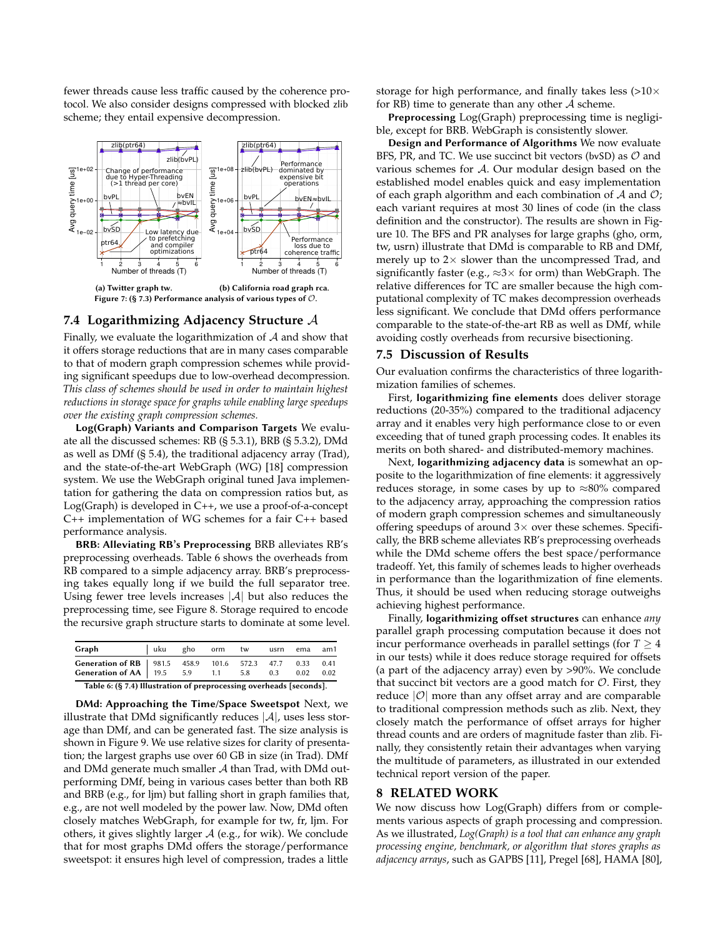fewer threads cause less traffic caused by the coherence protocol. We also consider designs compressed with blocked zlib scheme; they entail expensive decompression.

<span id="page-9-2"></span>

#### <span id="page-9-1"></span>**7.4 Logarithmizing Adjacency Structure** A

Finally, we evaluate the logarithmization of  $A$  and show that it offers storage reductions that are in many cases comparable to that of modern graph compression schemes while providing significant speedups due to low-overhead decompression. *This class of schemes should be used in order to maintain highest reductions in storage space for graphs while enabling large speedups over the existing graph compression schemes.*

Log(Graph) Variants and Comparison Targets We evaluate all the discussed schemes: RB (§ [5.3.1\)](#page-5-4), BRB (§ [5.3.2\)](#page-6-0), DMd as well as DMf (§ [5.4\)](#page-6-3), the traditional adjacency array (Trad), and the state-of-the-art WebGraph (WG) [\[18\]](#page-11-1) compression system. We use the WebGraph original tuned Java implementation for gathering the data on compression ratios but, as Log(Graph) is developed in C++, we use a proof-of-a-concept C++ implementation of WG schemes for a fair C++ based performance analysis.

BRB: Alleviating RB's Preprocessing BRB alleviates RB's preprocessing overheads. Table [6](#page-9-0) shows the overheads from RB compared to a simple adjacency array. BRB's preprocessing takes equally long if we build the full separator tree. Using fewer tree levels increases  $|A|$  but also reduces the preprocessing time, see Figure [8.](#page-10-0) Storage required to encode the recursive graph structure starts to dominate at some level.

<span id="page-9-0"></span>

| Graph                                                                                       | l uku | gho | orm | tw  | usrn | ema          | am1          |
|---------------------------------------------------------------------------------------------|-------|-----|-----|-----|------|--------------|--------------|
| Generation of RB   981.5 458.9 101.6 572.3 47.7<br><b>Generation of AA</b>   $19.5$ 5.9 1.1 |       |     |     | 5.8 | 0.3  | 0.33<br>0.02 | 0.41<br>0.02 |
| Table 6: (§ 7.4) Illustration of preprocessing overheads [seconds].                         |       |     |     |     |      |              |              |

DMd: Approaching the Time/Space Sweetspot Next, we illustrate that DMd significantly reduces  $|\mathcal{A}|$ , uses less storage than DMf, and can be generated fast. The size analysis is shown in Figure [9.](#page-10-0) We use relative sizes for clarity of presentation; the largest graphs use over 60 GB in size (in Trad). DMf and DMd generate much smaller A than Trad, with DMd outperforming DMf, being in various cases better than both RB and BRB (e.g., for ljm) but falling short in graph families that, e.g., are not well modeled by the power law. Now, DMd often closely matches WebGraph, for example for tw, fr, ljm. For others, it gives slightly larger  $A$  (e.g., for wik). We conclude that for most graphs DMd offers the storage/performance sweetspot: it ensures high level of compression, trades a little

storage for high performance, and finally takes less  $(>10\times$ for RB) time to generate than any other  $A$  scheme.

Preprocessing Log(Graph) preprocessing time is negligible, except for BRB. WebGraph is consistently slower.

Design and Performance of Algorithms We now evaluate BFS, PR, and TC. We use succinct bit vectors (bvSD) as  $\mathcal O$  and various schemes for A. Our modular design based on the established model enables quick and easy implementation of each graph algorithm and each combination of  $A$  and  $O$ ; each variant requires at most 30 lines of code (in the class definition and the constructor). The results are shown in Figure [10.](#page-10-1) The BFS and PR analyses for large graphs (gho, orm, tw, usrn) illustrate that DMd is comparable to RB and DMf, merely up to  $2 \times$  slower than the uncompressed Trad, and significantly faster (e.g.,  $\approx 3 \times$  for orm) than WebGraph. The relative differences for TC are smaller because the high computational complexity of TC makes decompression overheads less significant. We conclude that DMd offers performance comparable to the state-of-the-art RB as well as DMf, while avoiding costly overheads from recursive bisectioning.

#### **7.5 Discussion of Results**

Our evaluation confirms the characteristics of three logarithmization families of schemes.

First, logarithmizing fine elements does deliver storage reductions (20-35%) compared to the traditional adjacency array and it enables very high performance close to or even exceeding that of tuned graph processing codes. It enables its merits on both shared- and distributed-memory machines.

Next, logarithmizing adjacency data is somewhat an opposite to the logarithmization of fine elements: it aggressively reduces storage, in some cases by up to  $\approx 80\%$  compared to the adjacency array, approaching the compression ratios of modern graph compression schemes and simultaneously offering speedups of around  $3\times$  over these schemes. Specifically, the BRB scheme alleviates RB's preprocessing overheads while the DMd scheme offers the best space/performance tradeoff. Yet, this family of schemes leads to higher overheads in performance than the logarithmization of fine elements. Thus, it should be used when reducing storage outweighs achieving highest performance.

Finally, logarithmizing offset structures can enhance *any* parallel graph processing computation because it does not incur performance overheads in parallel settings (for  $T \geq 4$ in our tests) while it does reduce storage required for offsets (a part of the adjacency array) even by >90%. We conclude that succinct bit vectors are a good match for  $\mathcal{O}$ . First, they reduce  $|O|$  more than any offset array and are comparable to traditional compression methods such as zlib. Next, they closely match the performance of offset arrays for higher thread counts and are orders of magnitude faster than zlib. Finally, they consistently retain their advantages when varying the multitude of parameters, as illustrated in our extended technical report version of the paper.

# **8 RELATED WORK**

We now discuss how Log(Graph) differs from or complements various aspects of graph processing and compression. As we illustrated, *Log(Graph) is a tool that can enhance any graph processing engine, benchmark, or algorithm that stores graphs as adjacency arrays*, such as GAPBS [\[11\]](#page-11-3), Pregel [\[68\]](#page-12-6), HAMA [\[80\]](#page-12-7),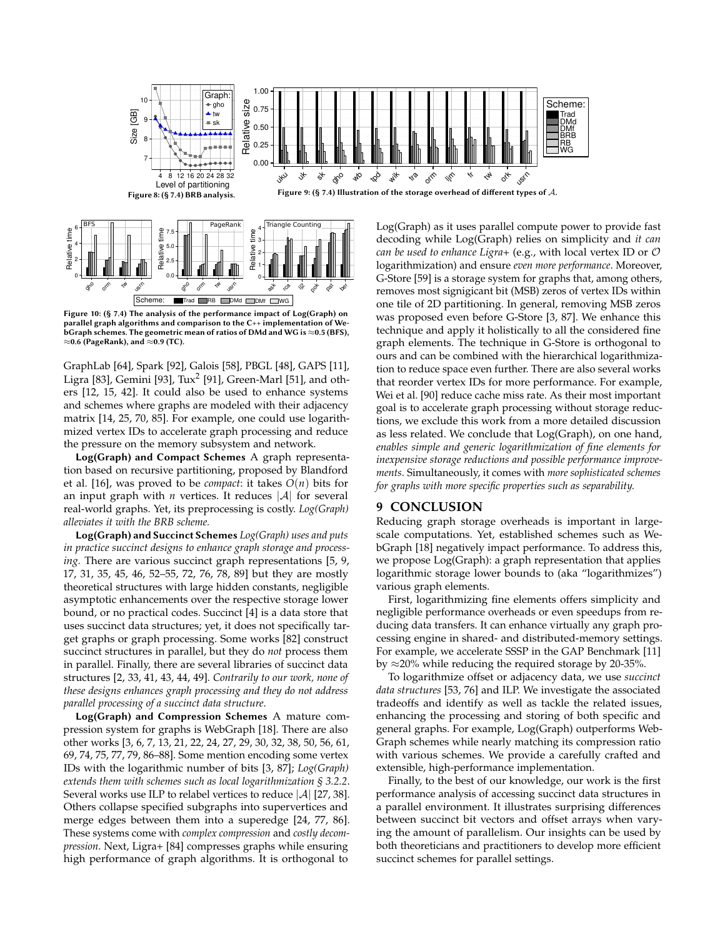<span id="page-10-0"></span>

Figure 10: (§ [7.4\)](#page-9-1) The analysis of the performance impact of Log(Graph) on parallel graph algorithms and comparison to the C++ implementation of WebGraph schemes. The geometric mean of ratios of DMd and WG is  $\approx$  0.5 (BFS),  $\approx$ 0.6 (PageRank), and  $\approx$ 0.9 (TC).

Scheme: Trad RB DMd DMf WG

0

ask  $c^{\circ}$  $\sqrt{2}$ pok pat  $\circ^{\diamond}$ 

 $\phi_{\mathrm{lo}}$ orm  $\mathscr{A}_{\mathscr{P}}$ usrn

 $\phi_{\mathrm{o}}$ orm tw usrn

<span id="page-10-1"></span>Relative time

GraphLab [\[64\]](#page-11-31), Spark [\[92\]](#page-12-8), Galois [\[58\]](#page-11-32), PBGL [\[48\]](#page-11-33), GAPS [\[11\]](#page-11-3), Ligra [\[83\]](#page-12-9), Gemini [\[93\]](#page-12-10), Tux<sup>2</sup> [\[91\]](#page-12-11), Green-Marl [\[51\]](#page-11-34), and others [\[12,](#page-11-35) [15,](#page-11-36) [42\]](#page-11-37). It could also be used to enhance systems and schemes where graphs are modeled with their adjacency matrix [\[14,](#page-11-38) [25,](#page-11-39) [70,](#page-12-12) [85\]](#page-12-13). For example, one could use logarithmized vertex IDs to accelerate graph processing and reduce the pressure on the memory subsystem and network.

Log(Graph) and Compact Schemes A graph representation based on recursive partitioning, proposed by Blandford et al. [\[16\]](#page-11-5), was proved to be *compact*: it takes  $O(n)$  bits for an input graph with *n* vertices. It reduces  $|\mathcal{A}|$  for several real-world graphs. Yet, its preprocessing is costly. *Log(Graph) alleviates it with the BRB scheme.*

Log(Graph) and Succinct Schemes *Log(Graph) uses and puts in practice succinct designs to enhance graph storage and processing.* There are various succinct graph representations [\[5,](#page-11-40) [9,](#page-11-41) [17,](#page-11-42) [31,](#page-11-12) [35,](#page-11-43) [45,](#page-11-13) [46,](#page-11-44) [52–](#page-11-45)[55,](#page-11-46) [72,](#page-12-14) [76,](#page-12-2) [78,](#page-12-1) [89\]](#page-12-15) but they are mostly theoretical structures with large hidden constants, negligible asymptotic enhancements over the respective storage lower bound, or no practical codes. Succinct [\[4\]](#page-11-47) is a data store that uses succinct data structures; yet, it does not specifically target graphs or graph processing. Some works [\[82\]](#page-12-16) construct succinct structures in parallel, but they do *not* process them in parallel. Finally, there are several libraries of succinct data structures [\[2,](#page-11-48) [33,](#page-11-49) [41,](#page-11-50) [43,](#page-11-7) [44,](#page-11-8) [49\]](#page-11-51). *Contrarily to our work, none of these designs enhances graph processing and they do not address parallel processing of a succinct data structure*.

Log(Graph) and Compression Schemes A mature compression system for graphs is WebGraph [\[18\]](#page-11-1). There are also other works [\[3,](#page-11-2) [6,](#page-11-52) [7,](#page-11-53) [13,](#page-11-9) [21,](#page-11-54) [22,](#page-11-55) [24,](#page-11-56) [27,](#page-11-57) [29,](#page-11-58) [30,](#page-11-59) [32,](#page-11-60) [38,](#page-11-61) [50,](#page-11-62) [56,](#page-11-63) [61,](#page-11-64) [69,](#page-12-17) [74,](#page-12-18) [75,](#page-12-19) [77,](#page-12-20) [79,](#page-12-21) [86](#page-12-22)[–88\]](#page-12-23). Some mention encoding some vertex IDs with the logarithmic number of bits [\[3,](#page-11-2) [87\]](#page-12-0); *Log(Graph) extends them with schemes such as local logarithmization § [3.2.2](#page-2-0)*. Several works use ILP to relabel vertices to reduce  $|\mathcal{A}|$  [\[27,](#page-11-57) [38\]](#page-11-61). Others collapse specified subgraphs into supervertices and merge edges between them into a superedge [\[24,](#page-11-56) [77,](#page-12-20) [86\]](#page-12-22). These systems come with *complex compression* and *costly decompression*. Next, Ligra+ [\[84\]](#page-12-24) compresses graphs while ensuring high performance of graph algorithms. It is orthogonal to

decoding while Log(Graph) relies on simplicity and *it can can be used to enhance Ligra+* (e.g., with local vertex ID or O logarithmization) and ensure *even more performance*. Moreover, G-Store [\[59\]](#page-11-65) is a storage system for graphs that, among others, removes most signigicant bit (MSB) zeros of vertex IDs within one tile of 2D partitioning. In general, removing MSB zeros was proposed even before G-Store [\[3,](#page-11-2) [87\]](#page-12-0). We enhance this technique and apply it holistically to all the considered fine graph elements. The technique in G-Store is orthogonal to ours and can be combined with the hierarchical logarithmization to reduce space even further. There are also several works that reorder vertex IDs for more performance. For example, Wei et al. [\[90\]](#page-12-25) reduce cache miss rate. As their most important goal is to accelerate graph processing without storage reductions, we exclude this work from a more detailed discussion as less related. We conclude that Log(Graph), on one hand, *enables simple and generic logarithmization of fine elements for inexpensive storage reductions and possible performance improvements*. Simultaneously, it comes with *more sophisticated schemes for graphs with more specific properties such as separability.*

# **9 CONCLUSION**

Reducing graph storage overheads is important in largescale computations. Yet, established schemes such as WebGraph [\[18\]](#page-11-1) negatively impact performance. To address this, we propose Log(Graph): a graph representation that applies logarithmic storage lower bounds to (aka "logarithmizes") various graph elements.

First, logarithmizing fine elements offers simplicity and negligible performance overheads or even speedups from reducing data transfers. It can enhance virtually any graph processing engine in shared- and distributed-memory settings. For example, we accelerate SSSP in the GAP Benchmark [\[11\]](#page-11-3) by  $\approx$ 20% while reducing the required storage by 20-35%.

To logarithmize offset or adjacency data, we use *succinct data structures* [\[53,](#page-11-4) [76\]](#page-12-2) and ILP. We investigate the associated tradeoffs and identify as well as tackle the related issues, enhancing the processing and storing of both specific and general graphs. For example, Log(Graph) outperforms Web-Graph schemes while nearly matching its compression ratio with various schemes. We provide a carefully crafted and extensible, high-performance implementation.

Finally, to the best of our knowledge, our work is the first performance analysis of accessing succinct data structures in a parallel environment. It illustrates surprising differences between succinct bit vectors and offset arrays when varying the amount of parallelism. Our insights can be used by both theoreticians and practitioners to develop more efficient succinct schemes for parallel settings.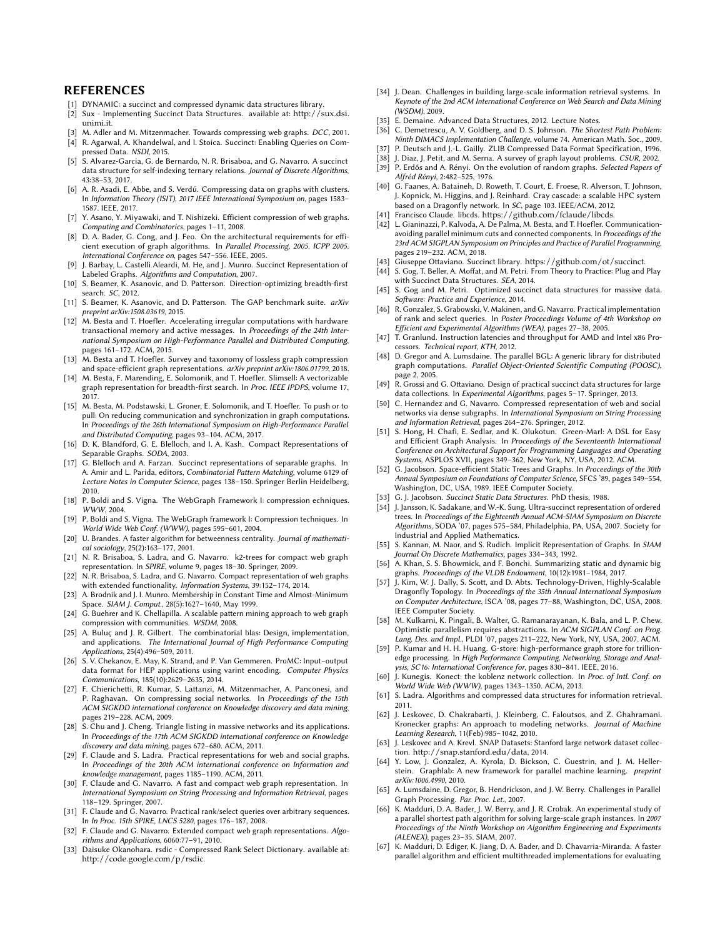# REFERENCES

- <span id="page-11-11"></span>[1] DYNAMIC: a succinct and compressed dynamic data structures library.
- <span id="page-11-48"></span>[2] Sux - Implementing Succinct Data Structures. available at: [http://sux.dsi.](http://sux.dsi.unimi.it) [unimi.it](http://sux.dsi.unimi.it).
- <span id="page-11-47"></span><span id="page-11-2"></span>M. Adler and M. Mitzenmacher. Towards compressing web graphs. DCC, 2001. [4] R. Agarwal, A. Khandelwal, and I. Stoica. Succinct: Enabling Queries on Compressed Data. NSDI, 2015.
- <span id="page-11-40"></span>[5] S. Alvarez-Garcia, G. de Bernardo, N. R. Brisaboa, and G. Navarro. A succinct data structure for self-indexing ternary relations. Journal of Discrete Algorithms, 43:38–53, 2017.
- <span id="page-11-52"></span>[6] A. R. Asadi, E. Abbe, and S. Verdú. Compressing data on graphs with clusters. In Information Theory (ISIT), 2017 IEEE International Symposium on, pages 1583– 1587. IEEE, 2017.
- <span id="page-11-53"></span>Y. Asano, Y. Miyawaki, and T. Nishizeki. Efficient compression of web graphs. Computing and Combinatorics, pages 1–11, 2008.
- <span id="page-11-18"></span>[8] D. A. Bader, G. Cong, and J. Feo. On the architectural requirements for efficient execution of graph algorithms. In Parallel Processing, 2005. ICPP 2005. International Conference on, pages 547–556. IEEE, 2005.
- <span id="page-11-41"></span>[9] J. Barbay, L. Castelli Aleardi, M. He, and J. Munro. Succinct Representation of Labeled Graphs. Algorithms and Computation, 2007.
- <span id="page-11-16"></span>[10] S. Beamer, K. Asanovic, and D. Patterson. Direction-optimizing breadth-first earch. SC, 2012.
- <span id="page-11-3"></span>[11] S. Beamer, K. Asanovic, and D. Patterson. The GAP benchmark suite. arXiv preprint arXiv:1508.03619, 2015.
- <span id="page-11-35"></span>[12] M. Besta and T. Hoefler. Accelerating irregular computations with hardware transactional memory and active messages. In Proceedings of the 24th International Symposium on High-Performance Parallel and Distributed Computing, pages 161–172. ACM, 2015.
- <span id="page-11-9"></span>[13] M. Besta and T. Hoefler. Survey and taxonomy of lossless graph compression and space-efficient graph representations.  $arXiv$  preprint  $arXiv:1806.01799$ , 2018.
- <span id="page-11-38"></span>[14] M. Besta, F. Marending, E. Solomonik, and T. Hoefler. Slimsell: A vectorizable graph representation for breadth-first search. In *Proc. IEEE IPDPS*, volume 17,<br>2017.
- <span id="page-11-36"></span>[15] M. Besta, M. Podstawski, L. Groner, E. Solomonik, and T. Hoefler. To push or to pull: On reducing communication and synchronization in graph computations. In Proceedings of the 26th International Symposium on High-Performance Parallel and Distributed Computing, pages 93–104. ACM, 2017.
- <span id="page-11-5"></span>[16] D. K. Blandford, G. E. Blelloch, and I. A. Kash. Compact Representations of Separable Graphs. SODA, 2003.
- <span id="page-11-42"></span>[17] G. Blelloch and A. Farzan. Succinct representations of separable graphs. In A. Amir and L. Parida, editors, Combinatorial Pattern Matching, volume 6129 of Lecture Notes in Computer Science, pages 138–150. Springer Berlin Heidelberg, 2010.
- <span id="page-11-1"></span>[18] P. Boldi and S. Vigna. The WebGraph Framework I: compression echniques. WWW, 2004.
- <span id="page-11-27"></span>[19] P. Boldi and S. Vigna. The WebGraph framework I: Compression techniques. In World Wide Web Conf. (WWW), pages 595–601, 2004.
- <span id="page-11-19"></span>[20] U. Brandes. A faster algorithm for betweenness centrality. Journal of mathematical sociology, 25(2):163–177, 2001.
- <span id="page-11-54"></span>[21] N. R. Brisaboa, S. Ladra, and G. Navarro. k2-trees for compact web graph representation. In SPIRE, volume 9, pages 18–30. Springer, 2009.
- <span id="page-11-55"></span>[22] N. R. Brisaboa, S. Ladra, and G. Navarro. Compact representation of web graphs with extended functionality. Information Systems, 39:152–174, 2014.
- <span id="page-11-10"></span>[23] A. Brodnik and J. I. Munro. Membership in Constant Time and Almost-Minimum Space. SIAM J. Comput., 28(5):1627–1640, May 1999.
- <span id="page-11-56"></span>[24] G. Buehrer and K. Chellapilla. A scalable pattern mining approach to web graph compression with communities. WSDM, 2008.
- <span id="page-11-39"></span>[25] A. Buluç and J. R. Gilbert. The combinatorial blas: Design, implementation, and applications. The International Journal of High Performance Computing Applications, 25(4):496–509, 2011.
- <span id="page-11-15"></span>[26] S. V. Chekanov, E. May, K. Strand, and P. Van Gemmeren. ProMC: Input–output data format for HEP applications using varint encoding. Computer Physics Communications, 185(10):2629–2635, 2014.
- <span id="page-11-57"></span>[27] F. Chierichetti, R. Kumar, S. Lattanzi, M. Mitzenmacher, A. Panconesi, and P. Raghavan. On compressing social networks. In Proceedings of the 15th ACM SIGKDD international conference on Knowledge discovery and data mining, pages 219–228. ACM, 2009.
- <span id="page-11-21"></span>[28] S. Chu and J. Cheng. Triangle listing in massive networks and its applications. In Proceedings of the 17th ACM SIGKDD international conference on Knowledge discovery and data mining, pages 672–680. ACM, 2011.
- <span id="page-11-58"></span>[29] F. Claude and S. Ladra. Practical representations for web and social graphs. In Proceedings of the 20th ACM international conference on Information and knowledge management, pages 1185–1190. ACM, 2011.
- <span id="page-11-59"></span>[30] F. Claude and G. Navarro. A fast and compact web graph representation. In International Symposium on String Processing and Information Retrieval, pages 118–129. Springer, 2007.
- <span id="page-11-12"></span>[31] F. Claude and G. Navarro. Practical rank/select queries over arbitrary sequences. In In Proc. 15th SPIRE, LNCS 5280, pages 176–187, 2008.
- <span id="page-11-60"></span>[32] F. Claude and G. Navarro. Extended compact web graph representations. Algorithms and Applications, 6060:77–91, 2010.
- <span id="page-11-49"></span>[33] Daisuke Okanohara. rsdic - Compressed Rank Select Dictionary. available at: <http://code.google.com/p/rsdic>.
- <span id="page-11-14"></span>[34] J. Dean. Challenges in building large-scale information retrieval systems. In Keynote of the 2nd ACM International Conference on Web Search and Data Mining (WSDM), 2009.
- <span id="page-11-43"></span>[35] E. Demaine. Advanced Data Structures, 2012. Lecture Notes.<br>[36] C. Demetrescu, A. V. Goldberg, and D. S. Johnson. The Shor
- <span id="page-11-26"></span>C. Demetrescu, A. V. Goldberg, and D. S. Johnson. The Shortest Path Problem: Ninth DIMACS Implementation Challenge, volume 74. American Math. Soc., 2009.
- <span id="page-11-30"></span>P. Deutsch and J.-L. Gailly. ZLIB Compressed Data Format Specification, 1996.
- <span id="page-11-61"></span><span id="page-11-23"></span>[38] J. Diaz, J. Petit, and M. Serna. A survey of graph layout problems. CSUR, 2002. [39] P. Erdős and A. Rényi. On the evolution of random graphs. Selected Papers of
- <span id="page-11-28"></span>Alfréd Rényi, 2:482–525, 1976. [40] G. Faanes, A. Bataineh, D. Roweth, T. Court, E. Froese, R. Alverson, T. Johnson,
- J. Kopnick, M. Higgins, and J. Reinhard. Cray cascade: a scalable HPC system based on a Dragonfly network. In SC, page 103. IEEE/ACM, 2012.
- <span id="page-11-50"></span>[41] Francisco Claude. libcds. <https://github.com/fclaude/libcds>.
- <span id="page-11-37"></span>[42] L. Gianinazzi, P. Kalvoda, A. De Palma, M. Besta, and T. Hoefler. Communicationavoiding parallel minimum cuts and connected components. In Proceedings of the 23rd ACM SIGPLAN Symposium on Principles and Practice of Parallel Programming, pages 219–232. ACM, 2018.
- <span id="page-11-7"></span>[43] Giuseppe Ottaviano. Succinct library. <https://github.com/ot/succinct>.
- <span id="page-11-8"></span>[44] S. Gog, T. Beller, A. Moffat, and M. Petri. From Theory to Practice: Plug and Play with Succinct Data Structures. SEA, 2014.
- <span id="page-11-13"></span>[45] S. Gog and M. Petri. Optimized succinct data structures for massive data. Software: Practice and Experience, 2014.
- <span id="page-11-44"></span>[46] R. Gonzalez, S. Grabowski, V. Makinen, and G. Navarro. Practical implementation of rank and select queries. In Poster Proceedings Volume of 4th Workshop on Efficient and Experimental Algorithms (WEA), pages 27–38, 2005.
- <span id="page-11-6"></span>[47] T. Granlund. Instruction latencies and throughput for AMD and Intel x86 Processors. Technical report, KTH, 2012.
- <span id="page-11-33"></span>[48] D. Gregor and A. Lumsdaine. The parallel BGL: A generic library for distributed graph computations. Parallel Object-Oriented Scientific Computing (POOSC), page 2, 2005.
- <span id="page-11-51"></span>[49] R. Grossi and G. Ottaviano. Design of practical succinct data structures for large data collections. In Experimental Algorithms, pages 5-17. Springer, 2013.
- <span id="page-11-62"></span>[50] C. Hernandez and G. Navarro. Compressed representation of web and social networks via dense subgraphs. In International Symposium on String Processing and Information Retrieval, pages 264–276. Springer, 2012.
- <span id="page-11-34"></span>[51] S. Hong, H. Chafi, E. Sedlar, and K. Olukotun. Green-Marl: A DSL for Easy and Efficient Graph Analysis. In Proceedings of the Seventeenth International Conference on Architectural Support for Programming Languages and Operating Systems, ASPLOS XVII, pages 349–362, New York, NY, USA, 2012. ACM.
- <span id="page-11-45"></span>[52] G. Jacobson. Space-efficient Static Trees and Graphs. In Proceedings of the 30th Annual Symposium on Foundations of Computer Science, SFCS '89, pages 549–554, Washington, DC, USA, 1989. IEEE Computer Society.
- <span id="page-11-4"></span>[53] G. J. Jacobson. Succinct Static Data Structures. PhD thesis, 1988.
- [54] J. Jansson, K. Sadakane, and W.-K. Sung. Ultra-succinct representation of ordered trees. In Proceedings of the Eighteenth Annual ACM-SIAM Symposium on Discrete Algorithms, SODA '07, pages 575–584, Philadelphia, PA, USA, 2007. Society for Industrial and Applied Mathematics.
- <span id="page-11-46"></span>[55] S. Kannan, M. Naor, and S. Rudich. Implicit Representation of Graphs. In SIAM Journal On Discrete Mathematics, pages 334–343, 1992.
- <span id="page-11-63"></span>[56] A. Khan, S. S. Bhowmick, and F. Bonchi. Summarizing static and dynamic big graphs. Proceedings of the VLDB Endowment, 10(12):1981–1984, 2017.
- <span id="page-11-29"></span>[57] J. Kim, W. J. Dally, S. Scott, and D. Abts. Technology-Driven, Highly-Scalable Dragonfly Topology. In Proceedings of the 35th Annual International Symposium on Computer Architecture, ISCA '08, pages 77–88, Washington, DC, USA, 2008. IEEE Computer Society.
- <span id="page-11-32"></span>[58] M. Kulkarni, K. Pingali, B. Walter, G. Ramanarayanan, K. Bala, and L. P. Chew. Optimistic parallelism requires abstractions. In ACM SIGPLAN Conf. on Prog. Lang. Des. and Impl., PLDI '07, pages 211–222, New York, NY, USA, 2007. ACM.
- <span id="page-11-65"></span>[59] P. Kumar and H. H. Huang. G-store: high-performance graph store for trillionedge processing. In High Performance Computing, Networking, Storage and Analysis, SC16: International Conference for, pages 830–841. IEEE, 2016.
- <span id="page-11-25"></span>[60] J. Kunegis. Konect: the koblenz network collection. In Proc. of Intl. Conf. on World Wide Web (WWW), pages 1343–1350. ACM, 2013.
- <span id="page-11-64"></span>[61] S. Ladra. Algorithms and compressed data structures for information retrieval. 2011.
- <span id="page-11-22"></span>[62] J. Leskovec, D. Chakrabarti, J. Kleinberg, C. Faloutsos, and Z. Ghahramani. Kronecker graphs: An approach to modeling networks. Journal of Machine Learning Research, 11(Feb):985–1042, 2010.
- <span id="page-11-24"></span>[63] J. Leskovec and A. Krevl. SNAP Datasets: Stanford large network dataset collection. <http://snap.stanford.edu/data>, 2014.
- <span id="page-11-31"></span>[64] Y. Low, J. Gonzalez, A. Kyrola, D. Bickson, C. Guestrin, and J. M. Hellerstein. Graphlab: A new framework for parallel machine learning. preprint arXiv:1006.4990, 2010.
- <span id="page-11-0"></span>[65] A. Lumsdaine, D. Gregor, B. Hendrickson, and J. W. Berry. Challenges in Parallel Graph Processing. Par. Proc. Let., 2007.
- <span id="page-11-17"></span>[66] K. Madduri, D. A. Bader, J. W. Berry, and J. R. Crobak. An experimental study of a parallel shortest path algorithm for solving large-scale graph instances. In 2007 Proceedings of the Ninth Workshop on Algorithm Engineering and Experiments (ALENEX), pages 23–35. SIAM, 2007.
- <span id="page-11-20"></span>[67] K. Madduri, D. Ediger, K. Jiang, D. A. Bader, and D. Chavarria-Miranda. A faster parallel algorithm and efficient multithreaded implementations for evaluating